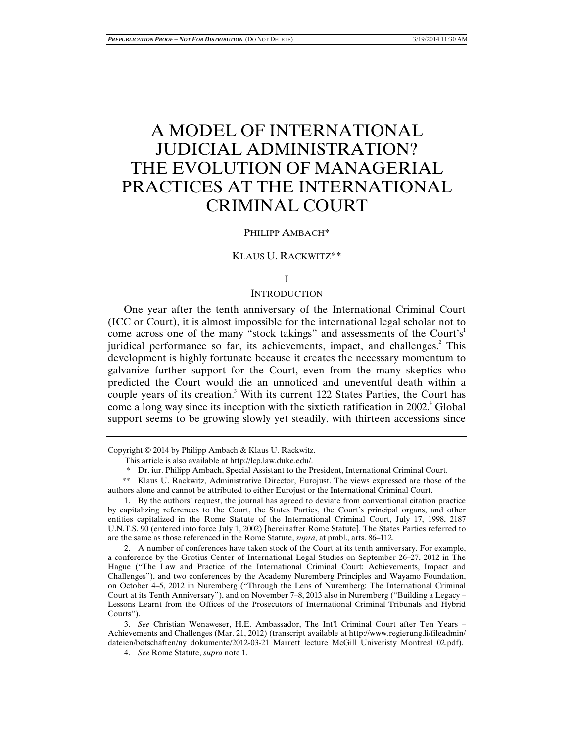# A MODEL OF INTERNATIONAL JUDICIAL ADMINISTRATION? THE EVOLUTION OF MANAGERIAL PRACTICES AT THE INTERNATIONAL CRIMINAL COURT

## PHILIPP AMBACH\*

# KLAUS U. RACKWITZ\*\*

# I

# INTRODUCTION

One year after the tenth anniversary of the International Criminal Court (ICC or Court), it is almost impossible for the international legal scholar not to come across one of the many "stock takings" and assessments of the Court's<sup>1</sup> juridical performance so far, its achievements, impact, and challenges.<sup>2</sup> This development is highly fortunate because it creates the necessary momentum to galvanize further support for the Court, even from the many skeptics who predicted the Court would die an unnoticed and uneventful death within a couple years of its creation.<sup>3</sup> With its current 122 States Parties, the Court has come a long way since its inception with the sixtieth ratification in  $2002$ .<sup>4</sup> Global support seems to be growing slowly yet steadily, with thirteen accessions since

Copyright © 2014 by Philipp Ambach & Klaus U. Rackwitz.

 1. By the authors' request, the journal has agreed to deviate from conventional citation practice by capitalizing references to the Court, the States Parties, the Court's principal organs, and other entities capitalized in the Rome Statute of the International Criminal Court, July 17, 1998, 2187 U.N.T.S. 90 (entered into force July 1, 2002) [hereinafter Rome Statute]. The States Parties referred to are the same as those referenced in the Rome Statute, *supra*, at pmbl., arts. 86–112.

 2. A number of conferences have taken stock of the Court at its tenth anniversary. For example, a conference by the Grotius Center of International Legal Studies on September 26–27, 2012 in The Hague ("The Law and Practice of the International Criminal Court: Achievements, Impact and Challenges"), and two conferences by the Academy Nuremberg Principles and Wayamo Foundation, on October 4–5, 2012 in Nuremberg ("Through the Lens of Nuremberg: The International Criminal Court at its Tenth Anniversary"), and on November 7–8, 2013 also in Nuremberg ("Building a Legacy – Lessons Learnt from the Offices of the Prosecutors of International Criminal Tribunals and Hybrid Courts").

 3. *See* Christian Wenaweser, H.E. Ambassador, The Int'l Criminal Court after Ten Years – Achievements and Challenges (Mar. 21, 2012) (transcript available at http://www.regierung.li/fileadmin/ dateien/botschaften/ny\_dokumente/2012-03-21\_Marrett\_lecture\_McGill\_Univeristy\_Montreal\_02.pdf).

4. *See* Rome Statute, *supra* note 1.

This article is also available at http://lcp.law.duke.edu/.

 <sup>\*</sup> Dr. iur. Philipp Ambach, Special Assistant to the President, International Criminal Court.

 <sup>\*\*</sup> Klaus U. Rackwitz, Administrative Director, Eurojust. The views expressed are those of the authors alone and cannot be attributed to either Eurojust or the International Criminal Court.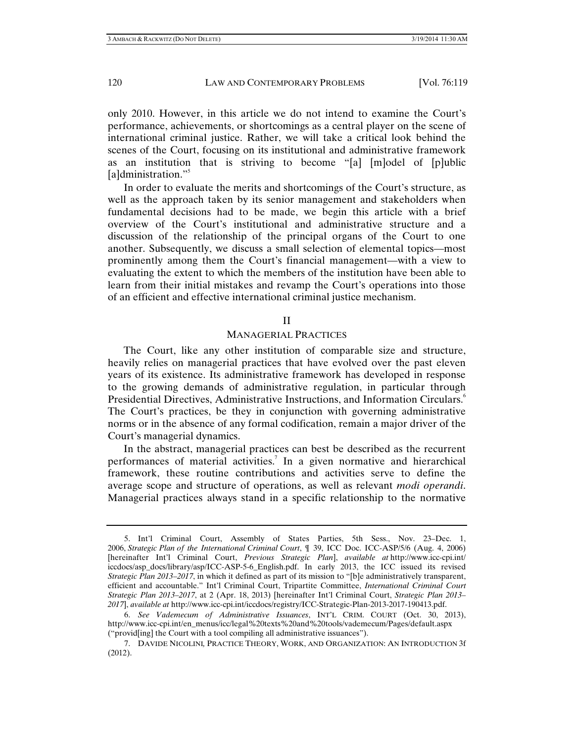only 2010. However, in this article we do not intend to examine the Court's performance, achievements, or shortcomings as a central player on the scene of international criminal justice. Rather, we will take a critical look behind the scenes of the Court, focusing on its institutional and administrative framework as an institution that is striving to become "[a] [m]odel of [p]ublic [a]dministration."<sup>5</sup>

In order to evaluate the merits and shortcomings of the Court's structure, as well as the approach taken by its senior management and stakeholders when fundamental decisions had to be made, we begin this article with a brief overview of the Court's institutional and administrative structure and a discussion of the relationship of the principal organs of the Court to one another. Subsequently, we discuss a small selection of elemental topics—most prominently among them the Court's financial management—with a view to evaluating the extent to which the members of the institution have been able to learn from their initial mistakes and revamp the Court's operations into those of an efficient and effective international criminal justice mechanism.

# II

# MANAGERIAL PRACTICES

The Court, like any other institution of comparable size and structure, heavily relies on managerial practices that have evolved over the past eleven years of its existence. Its administrative framework has developed in response to the growing demands of administrative regulation, in particular through Presidential Directives, Administrative Instructions, and Information Circulars.<sup>6</sup> The Court's practices, be they in conjunction with governing administrative norms or in the absence of any formal codification, remain a major driver of the Court's managerial dynamics.

In the abstract, managerial practices can best be described as the recurrent performances of material activities.<sup>7</sup> In a given normative and hierarchical framework, these routine contributions and activities serve to define the average scope and structure of operations, as well as relevant *modi operandi*. Managerial practices always stand in a specific relationship to the normative

 <sup>5.</sup> Int'l Criminal Court, Assembly of States Parties, 5th Sess., Nov. 23–Dec. 1, 2006, *Strategic Plan of the International Criminal Court*, ¶ 39, ICC Doc. ICC-ASP/5/6 (Aug. 4, 2006) [hereinafter Int'l Criminal Court, *Previous Strategic Plan*], *available at* http://www.icc-cpi.int/ iccdocs/asp\_docs/library/asp/ICC-ASP-5-6\_English.pdf. In early 2013, the ICC issued its revised *Strategic Plan 2013–2017*, in which it defined as part of its mission to "[b]e administratively transparent, efficient and accountable." Int'l Criminal Court, Tripartite Committee, *International Criminal Court Strategic Plan 2013–2017*, at 2 (Apr. 18, 2013) [hereinafter Int'l Criminal Court, *Strategic Plan 2013– 2017*], *available at* http://www.icc-cpi.int/iccdocs/registry/ICC-Strategic-Plan-2013-2017-190413.pdf.

 <sup>6.</sup> *See Vademecum of Administrative Issuances*, INT'L CRIM. COURT (Oct. 30, 2013), http://www.icc-cpi.int/en\_menus/icc/legal%20texts%20and%20tools/vademecum/Pages/default.aspx ("provid[ing] the Court with a tool compiling all administrative issuances").

 <sup>7.</sup> DAVIDE NICOLINI*,* PRACTICE THEORY, WORK, AND ORGANIZATION: AN INTRODUCTION 3f (2012).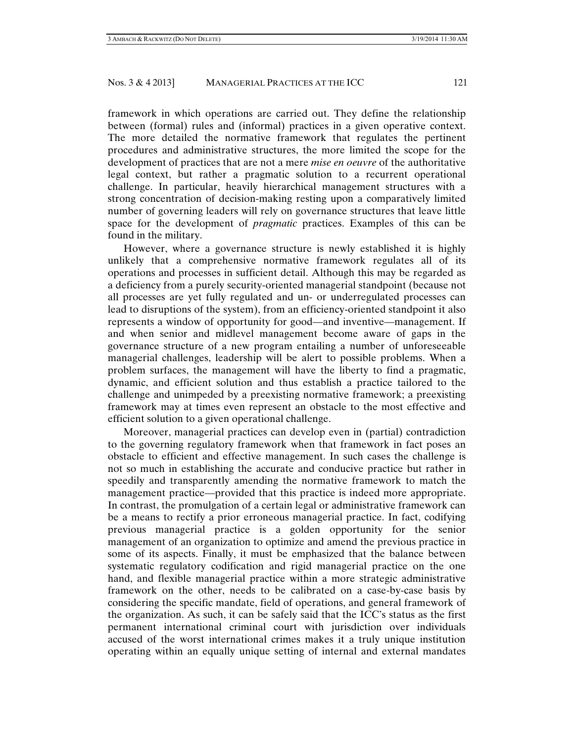framework in which operations are carried out. They define the relationship between (formal) rules and (informal) practices in a given operative context. The more detailed the normative framework that regulates the pertinent procedures and administrative structures, the more limited the scope for the development of practices that are not a mere *mise en oeuvre* of the authoritative legal context, but rather a pragmatic solution to a recurrent operational challenge. In particular, heavily hierarchical management structures with a strong concentration of decision-making resting upon a comparatively limited number of governing leaders will rely on governance structures that leave little space for the development of *pragmatic* practices. Examples of this can be found in the military.

However, where a governance structure is newly established it is highly unlikely that a comprehensive normative framework regulates all of its operations and processes in sufficient detail. Although this may be regarded as a deficiency from a purely security-oriented managerial standpoint (because not all processes are yet fully regulated and un- or underregulated processes can lead to disruptions of the system), from an efficiency-oriented standpoint it also represents a window of opportunity for good—and inventive—management. If and when senior and midlevel management become aware of gaps in the governance structure of a new program entailing a number of unforeseeable managerial challenges, leadership will be alert to possible problems. When a problem surfaces, the management will have the liberty to find a pragmatic, dynamic, and efficient solution and thus establish a practice tailored to the challenge and unimpeded by a preexisting normative framework; a preexisting framework may at times even represent an obstacle to the most effective and efficient solution to a given operational challenge.

Moreover, managerial practices can develop even in (partial) contradiction to the governing regulatory framework when that framework in fact poses an obstacle to efficient and effective management. In such cases the challenge is not so much in establishing the accurate and conducive practice but rather in speedily and transparently amending the normative framework to match the management practice—provided that this practice is indeed more appropriate. In contrast, the promulgation of a certain legal or administrative framework can be a means to rectify a prior erroneous managerial practice. In fact, codifying previous managerial practice is a golden opportunity for the senior management of an organization to optimize and amend the previous practice in some of its aspects. Finally, it must be emphasized that the balance between systematic regulatory codification and rigid managerial practice on the one hand, and flexible managerial practice within a more strategic administrative framework on the other, needs to be calibrated on a case-by-case basis by considering the specific mandate, field of operations, and general framework of the organization. As such, it can be safely said that the ICC's status as the first permanent international criminal court with jurisdiction over individuals accused of the worst international crimes makes it a truly unique institution operating within an equally unique setting of internal and external mandates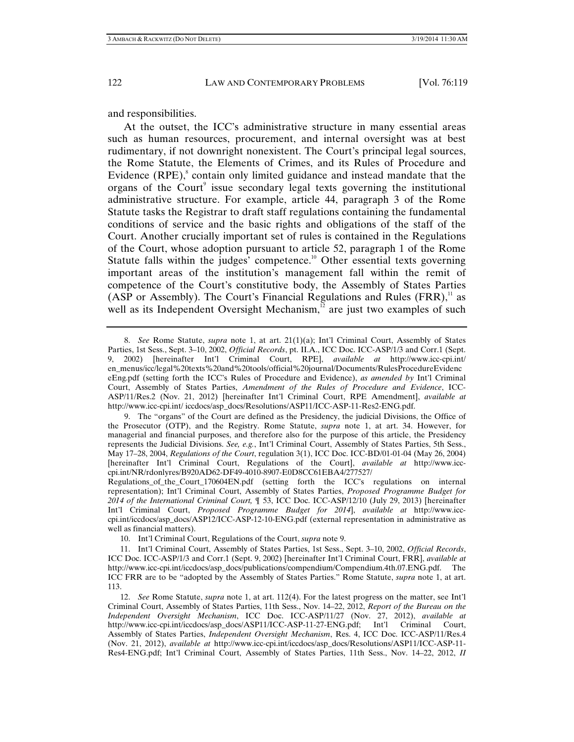and responsibilities.

At the outset, the ICC's administrative structure in many essential areas such as human resources, procurement, and internal oversight was at best rudimentary, if not downright nonexistent. The Court's principal legal sources, the Rome Statute, the Elements of Crimes, and its Rules of Procedure and Evidence  $(RPE)$ , contain only limited guidance and instead mandate that the organs of the Court<sup>9</sup> issue secondary legal texts governing the institutional administrative structure. For example, article 44, paragraph 3 of the Rome Statute tasks the Registrar to draft staff regulations containing the fundamental conditions of service and the basic rights and obligations of the staff of the Court. Another crucially important set of rules is contained in the Regulations of the Court, whose adoption pursuant to article 52, paragraph 1 of the Rome Statute falls within the judges' competence.<sup>10</sup> Other essential texts governing important areas of the institution's management fall within the remit of competence of the Court's constitutive body, the Assembly of States Parties (ASP or Assembly). The Court's Financial Regulations and Rules  $(FRR)$ ,<sup>11</sup> as well as its Independent Oversight Mechanism, $\frac{1}{2}$  are just two examples of such

10. Int'l Criminal Court, Regulations of the Court, *supra* note 9.

 <sup>8.</sup> *See* Rome Statute, *supra* note 1, at art. 21(1)(a); Int'l Criminal Court, Assembly of States Parties, 1st Sess., Sept. 3–10, 2002, *Official Records*, pt. II.A., ICC Doc. ICC-ASP/1/3 and Corr.1 (Sept. 9, 2002) [hereinafter Int'l Criminal Court, RPE], *available at* http://www.icc-cpi.int/ en\_menus/icc/legal%20texts%20and%20tools/official%20journal/Documents/RulesProcedureEvidenc eEng.pdf (setting forth the ICC's Rules of Procedure and Evidence), *as amended by* Int'l Criminal Court, Assembly of States Parties, *Amendment of the Rules of Procedure and Evidence*, ICC-ASP/11/Res.2 (Nov. 21, 2012) [hereinafter Int'l Criminal Court, RPE Amendment], *available at*  http://www.icc-cpi.int/ iccdocs/asp\_docs/Resolutions/ASP11/ICC-ASP-11-Res2-ENG.pdf.

 <sup>9.</sup> The "organs" of the Court are defined as the Presidency, the judicial Divisions, the Office of the Prosecutor (OTP), and the Registry. Rome Statute, *supra* note 1, at art. 34. However, for managerial and financial purposes, and therefore also for the purpose of this article, the Presidency represents the Judicial Divisions. *See, e.g.*, Int'l Criminal Court, Assembly of States Parties, 5th Sess., May 17–28, 2004, *Regulations of the Court*, regulation 3(1), ICC Doc. ICC-BD/01-01-04 (May 26, 2004) [hereinafter Int'l Criminal Court, Regulations of the Court], *available at* http://www.icccpi.int/NR/rdonlyres/B920AD62-DF49-4010-8907-E0D8CC61EBA4/277527/

Regulations\_of\_the\_Court\_170604EN.pdf (setting forth the ICC's regulations on internal representation); Int'l Criminal Court, Assembly of States Parties, *Proposed Programme Budget for 2014 of the International Criminal Court,* ¶ 53, ICC Doc. ICC-ASP/12/10 (July 29, 2013) [hereinafter Int'l Criminal Court, *Proposed Programme Budget for 2014*], *available at* http://www.icccpi.int/iccdocs/asp\_docs/ASP12/ICC-ASP-12-10-ENG.pdf (external representation in administrative as well as financial matters).

 <sup>11.</sup> Int'l Criminal Court, Assembly of States Parties, 1st Sess., Sept. 3–10, 2002, *Official Records*, ICC Doc. ICC-ASP/1/3 and Corr.1 (Sept. 9, 2002) [hereinafter Int'l Criminal Court, FRR], *available at* http://www.icc-cpi.int/iccdocs/asp\_docs/publications/compendium/Compendium.4th.07.ENG.pdf. The ICC FRR are to be "adopted by the Assembly of States Parties." Rome Statute, *supra* note 1, at art. 113.

 <sup>12.</sup> *See* Rome Statute, *supra* note 1, at art. 112(4). For the latest progress on the matter, see Int'l Criminal Court, Assembly of States Parties, 11th Sess., Nov. 14–22, 2012, *Report of the Bureau on the Independent Oversight Mechanism*, ICC Doc. ICC-ASP/11/27 (Nov. 27, 2012), *available at* http://www.icc-cpi.int/iccdocs/asp\_docs/ASP11/ICC-ASP-11-27-ENG.pdf; Int'l Criminal Court, Assembly of States Parties, *Independent Oversight Mechanism*, Res. 4, ICC Doc. ICC-ASP/11/Res.4 (Nov. 21, 2012), *available at* http://www.icc-cpi.int/iccdocs/asp\_docs/Resolutions/ASP11/ICC-ASP-11- Res4-ENG.pdf; Int'l Criminal Court, Assembly of States Parties, 11th Sess., Nov. 14–22, 2012, *II*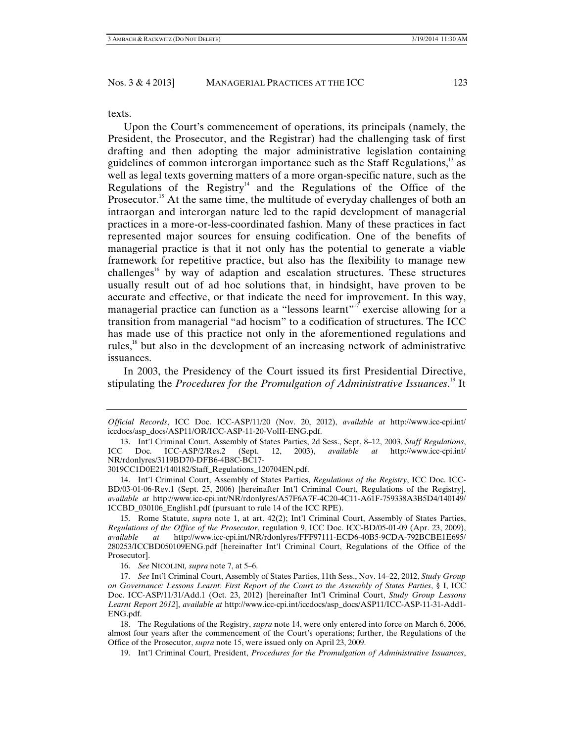texts.

Upon the Court's commencement of operations, its principals (namely, the President, the Prosecutor, and the Registrar) had the challenging task of first drafting and then adopting the major administrative legislation containing guidelines of common interorgan importance such as the Staff Regulations, $^{13}$  as well as legal texts governing matters of a more organ-specific nature, such as the Regulations of the Registry<sup>14</sup> and the Regulations of the Office of the Prosecutor.<sup>15</sup> At the same time, the multitude of everyday challenges of both an intraorgan and interorgan nature led to the rapid development of managerial practices in a more-or-less-coordinated fashion. Many of these practices in fact represented major sources for ensuing codification. One of the benefits of managerial practice is that it not only has the potential to generate a viable framework for repetitive practice, but also has the flexibility to manage new challenges<sup>16</sup> by way of adaption and escalation structures. These structures usually result out of ad hoc solutions that, in hindsight, have proven to be accurate and effective, or that indicate the need for improvement. In this way, managerial practice can function as a "lessons learnt"<sup>17</sup> exercise allowing for a transition from managerial "ad hocism" to a codification of structures. The ICC has made use of this practice not only in the aforementioned regulations and rules,18 but also in the development of an increasing network of administrative issuances.

In 2003, the Presidency of the Court issued its first Presidential Directive, stipulating the *Procedures for the Promulgation of Administrative Issuances*. 19 It

3019CC1D0E21/140182/Staff\_Regulations\_120704EN.pdf.

*Official Records*, ICC Doc. ICC-ASP/11/20 (Nov. 20, 2012), *available at* http://www.icc-cpi.int/ iccdocs/asp\_docs/ASP11/OR/ICC-ASP-11-20-VolII-ENG.pdf.

 <sup>13.</sup> Int'l Criminal Court, Assembly of States Parties, 2d Sess., Sept. 8–12, 2003, *Staff Regulations*, ICC Doc. ICC-ASP/2/Res.2 (Sept. 12, 2003), *available at* http://www.icc-cpi.int/ NR/rdonlyres/3119BD70-DFB6-4B8C-BC17-

 <sup>14.</sup> Int'l Criminal Court, Assembly of States Parties, *Regulations of the Registry*, ICC Doc. ICC-BD/03-01-06-Rev.1 (Sept. 25, 2006) [hereinafter Int'l Criminal Court, Regulations of the Registry], *available at* http://www.icc-cpi.int/NR/rdonlyres/A57F6A7F-4C20-4C11-A61F-759338A3B5D4/140149/ ICCBD\_030106\_English1.pdf (pursuant to rule 14 of the ICC RPE).

 <sup>15.</sup> Rome Statute, *supra* note 1, at art. 42(2); Int'l Criminal Court, Assembly of States Parties, *Regulations of the Office of the Prosecutor*, regulation 9, ICC Doc. ICC-BD/05-01-09 (Apr. 23, 2009), *available at* http://www.icc-cpi.int/NR/rdonlyres/FFF97111-ECD6-40B5-9CDA-792BCBE1E695/ 280253/ICCBD050109ENG.pdf [hereinafter Int'l Criminal Court, Regulations of the Office of the Prosecutor].

 <sup>16.</sup> *See* NICOLINI*, supra* note 7, at 5–6.

 <sup>17.</sup> *See* Int'l Criminal Court, Assembly of States Parties, 11th Sess., Nov. 14–22, 2012, *Study Group on Governance: Lessons Learnt: First Report of the Court to the Assembly of States Parties*, § I, ICC Doc. ICC-ASP/11/31/Add.1 (Oct. 23, 2012) [hereinafter Int'l Criminal Court, *Study Group Lessons Learnt Report 2012*], *available at* http://www.icc-cpi.int/iccdocs/asp\_docs/ASP11/ICC-ASP-11-31-Add1- ENG.pdf.

 <sup>18.</sup> The Regulations of the Registry, *supra* note 14, were only entered into force on March 6, 2006, almost four years after the commencement of the Court's operations; further, the Regulations of the Office of the Prosecutor, *supra* note 15, were issued only on April 23, 2009.

 <sup>19.</sup> Int'l Criminal Court, President, *Procedures for the Promulgation of Administrative Issuances*,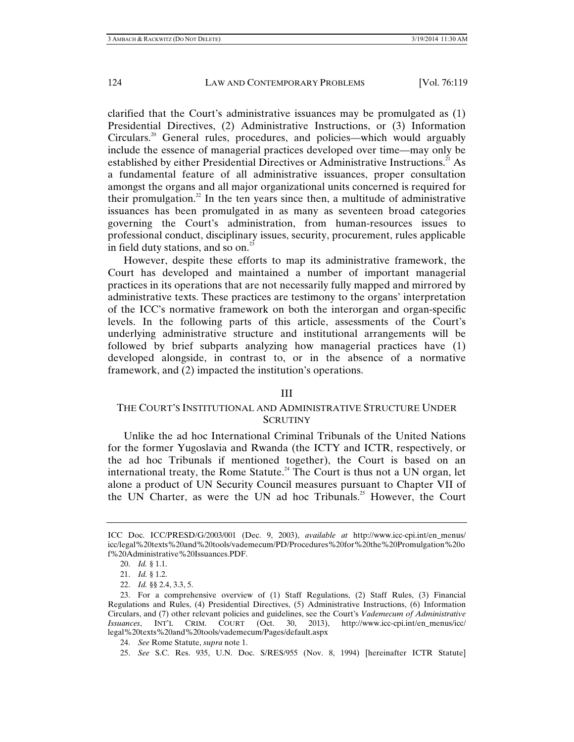clarified that the Court's administrative issuances may be promulgated as (1) Presidential Directives, (2) Administrative Instructions, or (3) Information Circulars.<sup>20</sup> General rules, procedures, and policies—which would arguably include the essence of managerial practices developed over time—may only be established by either Presidential Directives or Administrative Instructions.<sup>21</sup> As a fundamental feature of all administrative issuances, proper consultation amongst the organs and all major organizational units concerned is required for their promulgation.<sup>22</sup> In the ten years since then, a multitude of administrative issuances has been promulgated in as many as seventeen broad categories governing the Court's administration, from human-resources issues to professional conduct, disciplinary issues, security, procurement, rules applicable in field duty stations, and so on.<sup>23</sup>

However, despite these efforts to map its administrative framework, the Court has developed and maintained a number of important managerial practices in its operations that are not necessarily fully mapped and mirrored by administrative texts. These practices are testimony to the organs' interpretation of the ICC's normative framework on both the interorgan and organ-specific levels. In the following parts of this article, assessments of the Court's underlying administrative structure and institutional arrangements will be followed by brief subparts analyzing how managerial practices have (1) developed alongside, in contrast to, or in the absence of a normative framework, and (2) impacted the institution's operations.

#### III

# THE COURT'S INSTITUTIONAL AND ADMINISTRATIVE STRUCTURE UNDER **SCRUTINY**

Unlike the ad hoc International Criminal Tribunals of the United Nations for the former Yugoslavia and Rwanda (the ICTY and ICTR, respectively, or the ad hoc Tribunals if mentioned together), the Court is based on an international treaty, the Rome Statute.<sup>24</sup> The Court is thus not a UN organ, let alone a product of UN Security Council measures pursuant to Chapter VII of the UN Charter, as were the UN ad hoc Tribunals.<sup>25</sup> However, the Court

25. *See* S.C. Res. 935, U.N. Doc. S/RES/955 (Nov. 8, 1994) [hereinafter ICTR Statute]

ICC Doc. ICC/PRESD/G/2003/001 (Dec. 9, 2003), *available at* http://www.icc-cpi.int/en\_menus/ icc/legal%20texts%20and%20tools/vademecum/PD/Procedures%20for%20the%20Promulgation%20o f%20Administrative%20Issuances.PDF.

 <sup>20.</sup> *Id.* § 1.1.

 <sup>21.</sup> *Id.* § 1.2.

 <sup>22.</sup> *Id.* §§ 2.4, 3.3, 5.

 <sup>23.</sup> For a comprehensive overview of (1) Staff Regulations, (2) Staff Rules, (3) Financial Regulations and Rules, (4) Presidential Directives, (5) Administrative Instructions, (6) Information Circulars, and (7) other relevant policies and guidelines, see the Court's *Vademecum of Administrative Issuances*, INT'L CRIM. COURT (Oct. 30, 2013), http://www.icc-cpi.int/en\_menus/icc/ legal%20texts%20and%20tools/vademecum/Pages/default.aspx

 <sup>24.</sup> *See* Rome Statute, *supra* note 1.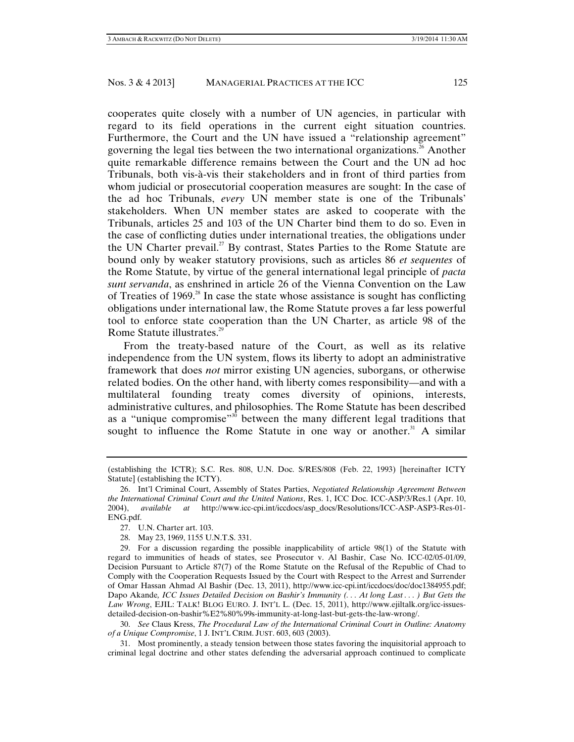cooperates quite closely with a number of UN agencies, in particular with regard to its field operations in the current eight situation countries. Furthermore, the Court and the UN have issued a "relationship agreement" governing the legal ties between the two international organizations.<sup> $\frac{3}{6}$ </sup> Another quite remarkable difference remains between the Court and the UN ad hoc Tribunals, both vis-à-vis their stakeholders and in front of third parties from whom judicial or prosecutorial cooperation measures are sought: In the case of the ad hoc Tribunals, *every* UN member state is one of the Tribunals' stakeholders. When UN member states are asked to cooperate with the Tribunals, articles 25 and 103 of the UN Charter bind them to do so. Even in the case of conflicting duties under international treaties, the obligations under the UN Charter prevail.<sup>27</sup> By contrast, States Parties to the Rome Statute are bound only by weaker statutory provisions, such as articles 86 *et sequentes* of the Rome Statute, by virtue of the general international legal principle of *pacta sunt servanda*, as enshrined in article 26 of the Vienna Convention on the Law of Treaties of  $1969$ .<sup>28</sup> In case the state whose assistance is sought has conflicting obligations under international law, the Rome Statute proves a far less powerful tool to enforce state cooperation than the UN Charter, as article 98 of the Rome Statute illustrates.<sup>29</sup>

From the treaty-based nature of the Court, as well as its relative independence from the UN system, flows its liberty to adopt an administrative framework that does *not* mirror existing UN agencies, suborgans, or otherwise related bodies. On the other hand, with liberty comes responsibility—and with a multilateral founding treaty comes diversity of opinions, interests, administrative cultures, and philosophies. The Rome Statute has been described as a "unique compromise"<sup>30</sup> between the many different legal traditions that sought to influence the Rome Statute in one way or another. $31$  A similar

<sup>(</sup>establishing the ICTR); S.C. Res. 808, U.N. Doc. S/RES/808 (Feb. 22, 1993) [hereinafter ICTY Statute] (establishing the ICTY).

 <sup>26.</sup> Int'l Criminal Court, Assembly of States Parties, *Negotiated Relationship Agreement Between the International Criminal Court and the United Nations*, Res. 1, ICC Doc. ICC-ASP/3/Res.1 (Apr. 10, 2004), *available at* http://www.icc-cpi.int/iccdocs/asp\_docs/Resolutions/ICC-ASP-ASP3-Res-01- ENG.pdf.

 <sup>27.</sup> U.N. Charter art. 103.

 <sup>28.</sup> May 23, 1969, 1155 U.N.T.S. 331.

 <sup>29.</sup> For a discussion regarding the possible inapplicability of article 98(1) of the Statute with regard to immunities of heads of states, see Prosecutor v. Al Bashir, Case No. ICC-02/05-01/09, Decision Pursuant to Article 87(7) of the Rome Statute on the Refusal of the Republic of Chad to Comply with the Cooperation Requests Issued by the Court with Respect to the Arrest and Surrender of Omar Hassan Ahmad Al Bashir (Dec. 13, 2011), http://www.icc-cpi.int/iccdocs/doc/doc1384955.pdf; Dapo Akande*, ICC Issues Detailed Decision on Bashir's Immunity (. . . At long Last . . . ) But Gets the Law Wrong*, EJIL: TALK! BLOG EURO. J. INT'L L. (Dec. 15, 2011), http://www.ejiltalk.org/icc-issuesdetailed-decision-on-bashir%E2%80%99s-immunity-at-long-last-but-gets-the-law-wrong/.

 <sup>30.</sup> *See* Claus Kress, *The Procedural Law of the International Criminal Court in Outline: Anatomy of a Unique Compromise*, 1 J. INT'L CRIM. JUST. 603, 603 (2003).

 <sup>31.</sup> Most prominently, a steady tension between those states favoring the inquisitorial approach to criminal legal doctrine and other states defending the adversarial approach continued to complicate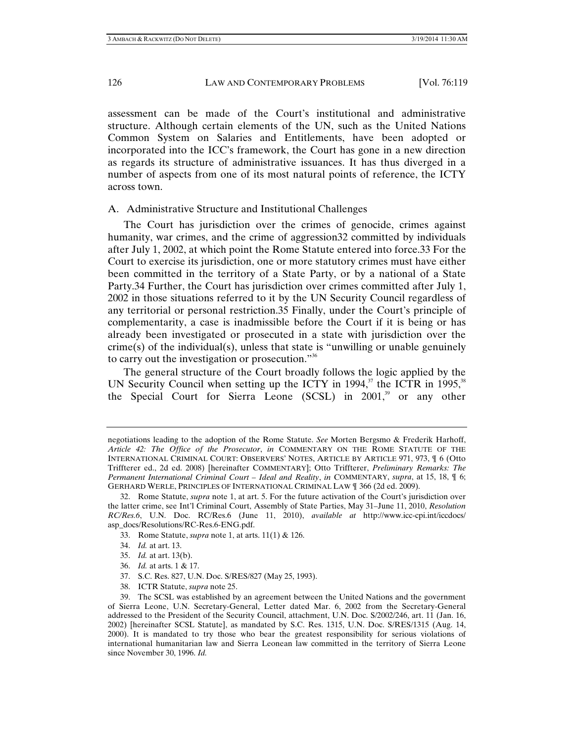assessment can be made of the Court's institutional and administrative structure. Although certain elements of the UN, such as the United Nations Common System on Salaries and Entitlements, have been adopted or incorporated into the ICC's framework, the Court has gone in a new direction as regards its structure of administrative issuances. It has thus diverged in a number of aspects from one of its most natural points of reference, the ICTY across town.

# A. Administrative Structure and Institutional Challenges

The Court has jurisdiction over the crimes of genocide, crimes against humanity, war crimes, and the crime of aggression32 committed by individuals after July 1, 2002, at which point the Rome Statute entered into force.33 For the Court to exercise its jurisdiction, one or more statutory crimes must have either been committed in the territory of a State Party, or by a national of a State Party.34 Further, the Court has jurisdiction over crimes committed after July 1, 2002 in those situations referred to it by the UN Security Council regardless of any territorial or personal restriction.35 Finally, under the Court's principle of complementarity, a case is inadmissible before the Court if it is being or has already been investigated or prosecuted in a state with jurisdiction over the crime(s) of the individual(s), unless that state is "unwilling or unable genuinely to carry out the investigation or prosecution. $\mathfrak{g}^{\mathfrak{so}}$ 

The general structure of the Court broadly follows the logic applied by the UN Security Council when setting up the ICTY in 1994, $37$  the ICTR in 1995, $38$ the Special Court for Sierra Leone (SCSL) in 2001,<sup>39</sup> or any other

- 36. *Id.* at arts. 1 & 17.
- 37. S.C. Res. 827, U.N. Doc. S/RES/827 (May 25, 1993).
- 38. ICTR Statute, *supra* note 25.

negotiations leading to the adoption of the Rome Statute. *See* Morten Bergsmo & Frederik Harhoff, *Article 42: The Office of the Prosecutor*, *in* COMMENTARY ON THE ROME STATUTE OF THE INTERNATIONAL CRIMINAL COURT: OBSERVERS' NOTES, ARTICLE BY ARTICLE 971, 973, ¶ 6 (Otto Triffterer ed., 2d ed. 2008) [hereinafter COMMENTARY]; Otto Triffterer, *Preliminary Remarks: The Permanent International Criminal Court – Ideal and Reality*, *in* COMMENTARY, *supra*, at 15, 18, ¶ 6; GERHARD WERLE, PRINCIPLES OF INTERNATIONAL CRIMINAL LAW ¶ 366 (2d ed. 2009).

 <sup>32.</sup> Rome Statute, *supra* note 1, at art. 5. For the future activation of the Court's jurisdiction over the latter crime, see Int'l Criminal Court, Assembly of State Parties, May 31–June 11, 2010, *Resolution RC/Res.6*, U.N. Doc. RC/Res.6 (June 11, 2010), *available at* http://www.icc-cpi.int/iccdocs/ asp\_docs/Resolutions/RC-Res.6-ENG.pdf.

 <sup>33.</sup> Rome Statute, *supra* note 1, at arts. 11(1) & 126.

 <sup>34.</sup> *Id.* at art. 13.

 <sup>35.</sup> *Id.* at art. 13(b).

 <sup>39.</sup> The SCSL was established by an agreement between the United Nations and the government of Sierra Leone, U.N. Secretary-General, Letter dated Mar. 6, 2002 from the Secretary-General addressed to the President of the Security Council, attachment, U.N. Doc. S/2002/246, art. 11 (Jan. 16, 2002) [hereinafter SCSL Statute], as mandated by S.C. Res. 1315, U.N. Doc. S/RES/1315 (Aug. 14, 2000). It is mandated to try those who bear the greatest responsibility for serious violations of international humanitarian law and Sierra Leonean law committed in the territory of Sierra Leone since November 30, 1996. *Id.*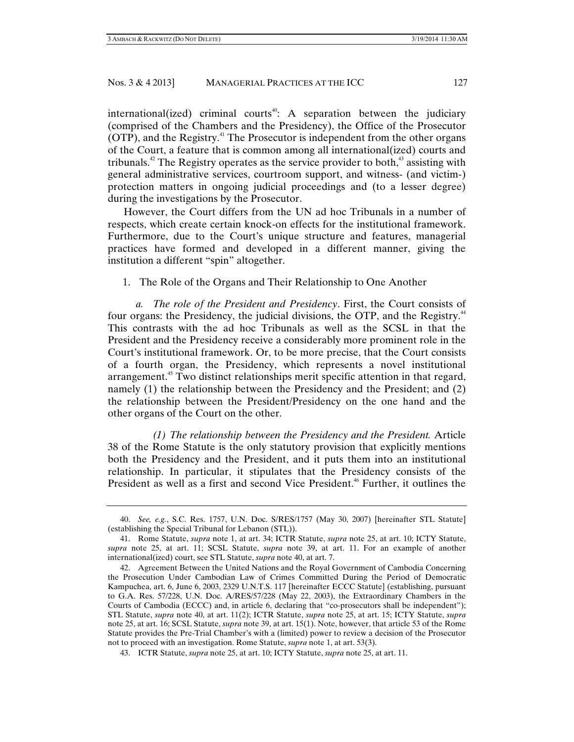international(ized) criminal courts<sup>40</sup>: A separation between the judiciary (comprised of the Chambers and the Presidency), the Office of the Prosecutor (OTP), and the Registry.41 The Prosecutor is independent from the other organs of the Court, a feature that is common among all international(ized) courts and tribunals.<sup>42</sup> The Registry operates as the service provider to both, $43$  assisting with general administrative services, courtroom support, and witness- (and victim-) protection matters in ongoing judicial proceedings and (to a lesser degree) during the investigations by the Prosecutor.

However, the Court differs from the UN ad hoc Tribunals in a number of respects, which create certain knock-on effects for the institutional framework. Furthermore, due to the Court's unique structure and features, managerial practices have formed and developed in a different manner, giving the institution a different "spin" altogether.

1. The Role of the Organs and Their Relationship to One Another

*a. The role of the President and Presidency*. First, the Court consists of four organs: the Presidency, the judicial divisions, the OTP, and the Registry.<sup>44</sup> This contrasts with the ad hoc Tribunals as well as the SCSL in that the President and the Presidency receive a considerably more prominent role in the Court's institutional framework. Or, to be more precise, that the Court consists of a fourth organ, the Presidency, which represents a novel institutional arrangement.<sup>45</sup> Two distinct relationships merit specific attention in that regard, namely (1) the relationship between the Presidency and the President; and (2) the relationship between the President/Presidency on the one hand and the other organs of the Court on the other.

*(1) The relationship between the Presidency and the President.* Article 38 of the Rome Statute is the only statutory provision that explicitly mentions both the Presidency and the President, and it puts them into an institutional relationship. In particular, it stipulates that the Presidency consists of the President as well as a first and second Vice President.<sup>46</sup> Further, it outlines the

 <sup>40.</sup> *See, e.g.*, S.C. Res. 1757, U.N. Doc. S/RES/1757 (May 30, 2007) [hereinafter STL Statute] (establishing the Special Tribunal for Lebanon (STL)).

 <sup>41.</sup> Rome Statute, *supra* note 1, at art. 34; ICTR Statute, *supra* note 25, at art. 10; ICTY Statute, *supra* note 25, at art. 11; SCSL Statute, *supra* note 39, at art. 11. For an example of another international(ized) court, see STL Statute, *supra* note 40, at art. 7.

 <sup>42.</sup> Agreement Between the United Nations and the Royal Government of Cambodia Concerning the Prosecution Under Cambodian Law of Crimes Committed During the Period of Democratic Kampuchea, art. 6, June 6, 2003, 2329 U.N.T.S. 117 [hereinafter ECCC Statute] (establishing, pursuant to G.A. Res. 57/228, U.N. Doc. A/RES/57/228 (May 22, 2003), the Extraordinary Chambers in the Courts of Cambodia (ECCC) and, in article 6, declaring that "co-prosecutors shall be independent"); STL Statute, *supra* note 40, at art. 11(2); ICTR Statute, *supra* note 25, at art. 15; ICTY Statute, *supra* note 25, at art. 16; SCSL Statute, *supra* note 39, at art. 15(1). Note, however, that article 53 of the Rome Statute provides the Pre-Trial Chamber's with a (limited) power to review a decision of the Prosecutor not to proceed with an investigation. Rome Statute, *supra* note 1, at art. 53(3).

 <sup>43.</sup> ICTR Statute, *supra* note 25, at art. 10; ICTY Statute, *supra* note 25, at art. 11.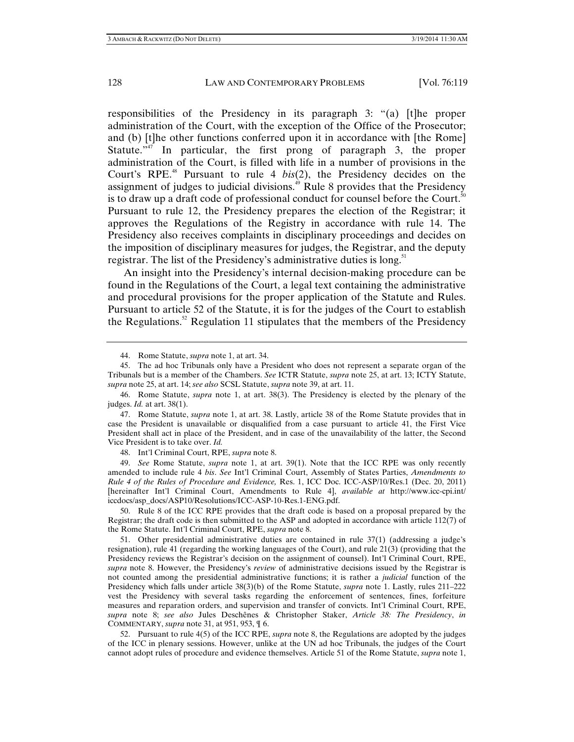responsibilities of the Presidency in its paragraph 3: "(a) [t]he proper administration of the Court, with the exception of the Office of the Prosecutor; and (b) [t]he other functions conferred upon it in accordance with [the Rome] Statute." $\overline{A}$ <sup>17</sup> In particular, the first prong of paragraph 3, the proper administration of the Court, is filled with life in a number of provisions in the Court's RPE.<sup>48</sup> Pursuant to rule 4 *bis*(2), the Presidency decides on the assignment of judges to judicial divisions. $4^{\circ}$  Rule 8 provides that the Presidency is to draw up a draft code of professional conduct for counsel before the Court.<sup>50</sup> Pursuant to rule 12, the Presidency prepares the election of the Registrar; it approves the Regulations of the Registry in accordance with rule 14. The Presidency also receives complaints in disciplinary proceedings and decides on the imposition of disciplinary measures for judges, the Registrar, and the deputy registrar. The list of the Presidency's administrative duties is long.<sup>51</sup>

An insight into the Presidency's internal decision-making procedure can be found in the Regulations of the Court, a legal text containing the administrative and procedural provisions for the proper application of the Statute and Rules. Pursuant to article 52 of the Statute, it is for the judges of the Court to establish the Regulations.<sup>52</sup> Regulation 11 stipulates that the members of the Presidency

48. Int'l Criminal Court, RPE, *supra* note 8.

 49. *See* Rome Statute, *supra* note 1, at art. 39(1). Note that the ICC RPE was only recently amended to include rule 4 *bis*. *See* Int'l Criminal Court, Assembly of States Parties, *Amendments to Rule 4 of the Rules of Procedure and Evidence,* Res. 1, ICC Doc. ICC-ASP/10/Res.1 (Dec. 20, 2011) [hereinafter Int'l Criminal Court, Amendments to Rule 4], *available at* http://www.icc-cpi.int/ iccdocs/asp\_docs/ASP10/Resolutions/ICC-ASP-10-Res.1-ENG.pdf.

 50. Rule 8 of the ICC RPE provides that the draft code is based on a proposal prepared by the Registrar; the draft code is then submitted to the ASP and adopted in accordance with article 112(7) of the Rome Statute. Int'l Criminal Court, RPE, *supra* note 8.

 51. Other presidential administrative duties are contained in rule 37(1) (addressing a judge's resignation), rule 41 (regarding the working languages of the Court), and rule 21(3) (providing that the Presidency reviews the Registrar's decision on the assignment of counsel). Int'l Criminal Court, RPE, *supra* note 8. However, the Presidency's *review* of administrative decisions issued by the Registrar is not counted among the presidential administrative functions; it is rather a *judicial* function of the Presidency which falls under article 38(3)(b) of the Rome Statute, *supra* note 1. Lastly, rules 211–222 vest the Presidency with several tasks regarding the enforcement of sentences, fines, forfeiture measures and reparation orders, and supervision and transfer of convicts. Int'l Criminal Court, RPE, *supra* note 8; *see also* Jules Deschênes & Christopher Staker, *Article 38: The Presidency*, *in* COMMENTARY, *supra* note 31, at 951, 953, ¶ 6.

 52. Pursuant to rule 4(5) of the ICC RPE, *supra* note 8, the Regulations are adopted by the judges of the ICC in plenary sessions. However, unlike at the UN ad hoc Tribunals, the judges of the Court cannot adopt rules of procedure and evidence themselves. Article 51 of the Rome Statute, *supra* note 1,

 <sup>44.</sup> Rome Statute, *supra* note 1, at art. 34.

 <sup>45.</sup> The ad hoc Tribunals only have a President who does not represent a separate organ of the Tribunals but is a member of the Chambers. *See* ICTR Statute, *supra* note 25, at art. 13; ICTY Statute, *supra* note 25, at art. 14; *see also* SCSL Statute, *supra* note 39, at art. 11.

 <sup>46.</sup> Rome Statute, *supra* note 1, at art. 38(3). The Presidency is elected by the plenary of the judges. *Id.* at art. 38(1).

 <sup>47.</sup> Rome Statute, *supra* note 1, at art. 38. Lastly, article 38 of the Rome Statute provides that in case the President is unavailable or disqualified from a case pursuant to article 41, the First Vice President shall act in place of the President, and in case of the unavailability of the latter, the Second Vice President is to take over. *Id.*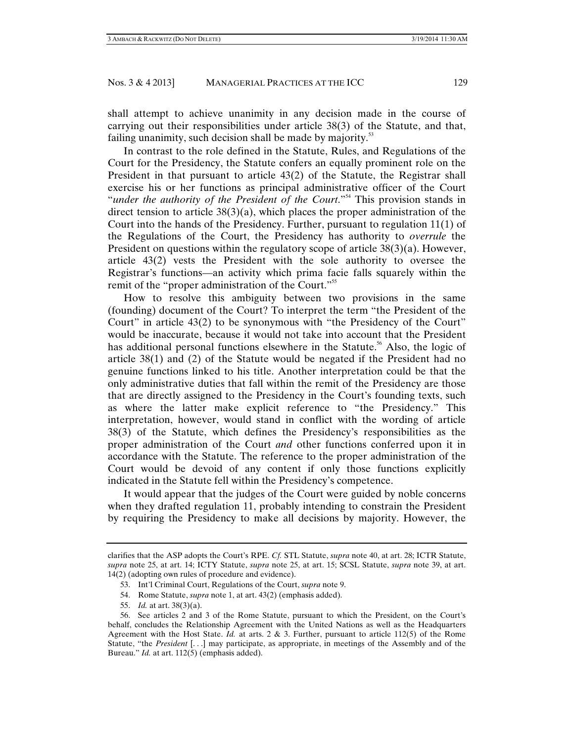shall attempt to achieve unanimity in any decision made in the course of carrying out their responsibilities under article 38(3) of the Statute, and that, failing unanimity, such decision shall be made by majority.<sup>53</sup>

In contrast to the role defined in the Statute, Rules, and Regulations of the Court for the Presidency, the Statute confers an equally prominent role on the President in that pursuant to article 43(2) of the Statute, the Registrar shall exercise his or her functions as principal administrative officer of the Court "*under the authority of the President of the Court*."<sup>54</sup> This provision stands in direct tension to article  $38(3)(a)$ , which places the proper administration of the Court into the hands of the Presidency. Further, pursuant to regulation 11(1) of the Regulations of the Court, the Presidency has authority to *overrule* the President on questions within the regulatory scope of article  $38(3)(a)$ . However, article 43(2) vests the President with the sole authority to oversee the Registrar's functions—an activity which prima facie falls squarely within the remit of the "proper administration of the Court."<sup>55</sup>

How to resolve this ambiguity between two provisions in the same (founding) document of the Court? To interpret the term "the President of the Court" in article 43(2) to be synonymous with "the Presidency of the Court" would be inaccurate, because it would not take into account that the President has additional personal functions elsewhere in the Statute.<sup>56</sup> Also, the logic of article 38(1) and (2) of the Statute would be negated if the President had no genuine functions linked to his title. Another interpretation could be that the only administrative duties that fall within the remit of the Presidency are those that are directly assigned to the Presidency in the Court's founding texts, such as where the latter make explicit reference to "the Presidency." This interpretation, however, would stand in conflict with the wording of article 38(3) of the Statute, which defines the Presidency's responsibilities as the proper administration of the Court *and* other functions conferred upon it in accordance with the Statute. The reference to the proper administration of the Court would be devoid of any content if only those functions explicitly indicated in the Statute fell within the Presidency's competence.

It would appear that the judges of the Court were guided by noble concerns when they drafted regulation 11, probably intending to constrain the President by requiring the Presidency to make all decisions by majority. However, the

55. *Id.* at art. 38(3)(a).

clarifies that the ASP adopts the Court's RPE. *Cf.* STL Statute, *supra* note 40, at art. 28; ICTR Statute, *supra* note 25, at art. 14; ICTY Statute, *supra* note 25, at art. 15; SCSL Statute, *supra* note 39, at art. 14(2) (adopting own rules of procedure and evidence).

 <sup>53.</sup> Int'l Criminal Court, Regulations of the Court, *supra* note 9.

 <sup>54.</sup> Rome Statute, *supra* note 1, at art. 43(2) (emphasis added).

 <sup>56.</sup> See articles 2 and 3 of the Rome Statute, pursuant to which the President, on the Court's behalf, concludes the Relationship Agreement with the United Nations as well as the Headquarters Agreement with the Host State. *Id.* at arts. 2 & 3. Further, pursuant to article 112(5) of the Rome Statute, "the *President* [. . .] may participate, as appropriate, in meetings of the Assembly and of the Bureau." *Id.* at art. 112(5) (emphasis added).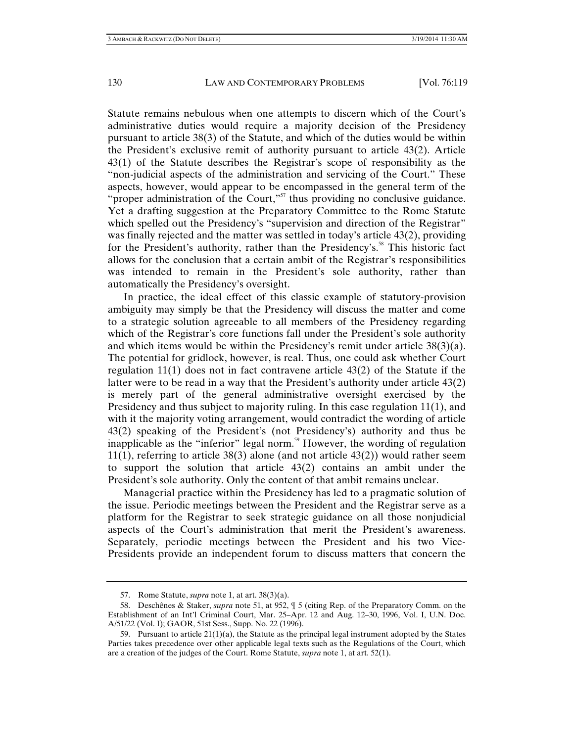Statute remains nebulous when one attempts to discern which of the Court's administrative duties would require a majority decision of the Presidency pursuant to article 38(3) of the Statute, and which of the duties would be within the President's exclusive remit of authority pursuant to article 43(2). Article 43(1) of the Statute describes the Registrar's scope of responsibility as the "non-judicial aspects of the administration and servicing of the Court." These aspects, however, would appear to be encompassed in the general term of the "proper administration of the Court,"<sup>57</sup> thus providing no conclusive guidance. Yet a drafting suggestion at the Preparatory Committee to the Rome Statute which spelled out the Presidency's "supervision and direction of the Registrar" was finally rejected and the matter was settled in today's article 43(2), providing for the President's authority, rather than the Presidency's.<sup>58</sup> This historic fact allows for the conclusion that a certain ambit of the Registrar's responsibilities was intended to remain in the President's sole authority, rather than automatically the Presidency's oversight.

In practice, the ideal effect of this classic example of statutory-provision ambiguity may simply be that the Presidency will discuss the matter and come to a strategic solution agreeable to all members of the Presidency regarding which of the Registrar's core functions fall under the President's sole authority and which items would be within the Presidency's remit under article  $38(3)(a)$ . The potential for gridlock, however, is real. Thus, one could ask whether Court regulation 11(1) does not in fact contravene article 43(2) of the Statute if the latter were to be read in a way that the President's authority under article 43(2) is merely part of the general administrative oversight exercised by the Presidency and thus subject to majority ruling. In this case regulation 11(1), and with it the majority voting arrangement, would contradict the wording of article 43(2) speaking of the President's (not Presidency's) authority and thus be inapplicable as the "inferior" legal norm.<sup>59</sup> However, the wording of regulation  $11(1)$ , referring to article 38(3) alone (and not article 43(2)) would rather seem to support the solution that article 43(2) contains an ambit under the President's sole authority. Only the content of that ambit remains unclear.

Managerial practice within the Presidency has led to a pragmatic solution of the issue. Periodic meetings between the President and the Registrar serve as a platform for the Registrar to seek strategic guidance on all those nonjudicial aspects of the Court's administration that merit the President's awareness. Separately, periodic meetings between the President and his two Vice-Presidents provide an independent forum to discuss matters that concern the

 <sup>57.</sup> Rome Statute, *supra* note 1, at art. 38(3)(a).

 <sup>58.</sup> Deschênes & Staker, *supra* note 51, at 952, ¶ 5 (citing Rep. of the Preparatory Comm. on the Establishment of an Int'l Criminal Court, Mar. 25–Apr. 12 and Aug. 12–30, 1996, Vol. I, U.N. Doc. A/51/22 (Vol. I); GAOR, 51st Sess., Supp. No. 22 (1996).

<sup>59.</sup> Pursuant to article  $21(1)(a)$ , the Statute as the principal legal instrument adopted by the States Parties takes precedence over other applicable legal texts such as the Regulations of the Court, which are a creation of the judges of the Court. Rome Statute, *supra* note 1, at art. 52(1).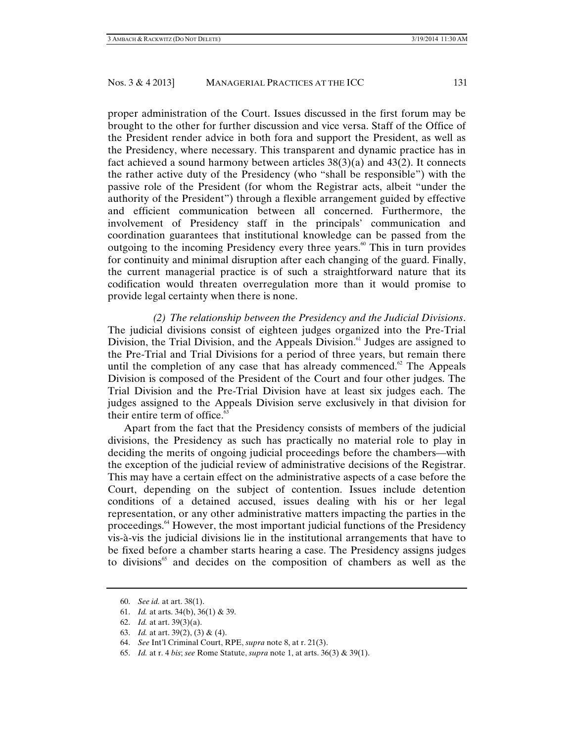proper administration of the Court. Issues discussed in the first forum may be brought to the other for further discussion and vice versa. Staff of the Office of the President render advice in both fora and support the President, as well as the Presidency, where necessary. This transparent and dynamic practice has in fact achieved a sound harmony between articles 38(3)(a) and 43(2). It connects the rather active duty of the Presidency (who "shall be responsible") with the passive role of the President (for whom the Registrar acts, albeit "under the authority of the President") through a flexible arrangement guided by effective and efficient communication between all concerned. Furthermore, the involvement of Presidency staff in the principals' communication and coordination guarantees that institutional knowledge can be passed from the outgoing to the incoming Presidency every three years.<sup>60</sup> This in turn provides for continuity and minimal disruption after each changing of the guard. Finally, the current managerial practice is of such a straightforward nature that its codification would threaten overregulation more than it would promise to provide legal certainty when there is none.

*(2) The relationship between the Presidency and the Judicial Divisions*. The judicial divisions consist of eighteen judges organized into the Pre-Trial Division, the Trial Division, and the Appeals Division. $61$  Judges are assigned to the Pre-Trial and Trial Divisions for a period of three years, but remain there until the completion of any case that has already commenced. $62$  The Appeals Division is composed of the President of the Court and four other judges. The Trial Division and the Pre-Trial Division have at least six judges each. The judges assigned to the Appeals Division serve exclusively in that division for their entire term of office. $65$ 

Apart from the fact that the Presidency consists of members of the judicial divisions, the Presidency as such has practically no material role to play in deciding the merits of ongoing judicial proceedings before the chambers—with the exception of the judicial review of administrative decisions of the Registrar. This may have a certain effect on the administrative aspects of a case before the Court, depending on the subject of contention. Issues include detention conditions of a detained accused, issues dealing with his or her legal representation, or any other administrative matters impacting the parties in the proceedings.64 However, the most important judicial functions of the Presidency vis-à-vis the judicial divisions lie in the institutional arrangements that have to be fixed before a chamber starts hearing a case. The Presidency assigns judges to divisions<sup>65</sup> and decides on the composition of chambers as well as the

 <sup>60.</sup> *See id.* at art. 38(1).

 <sup>61.</sup> *Id.* at arts. 34(b), 36(1) & 39.

 <sup>62.</sup> *Id.* at art. 39(3)(a).

 <sup>63.</sup> *Id.* at art. 39(2), (3) & (4).

 <sup>64.</sup> *See* Int'l Criminal Court, RPE, *supra* note 8, at r. 21(3).

 <sup>65.</sup> *Id.* at r. 4 *bis*; *see* Rome Statute, *supra* note 1, at arts. 36(3) & 39(1).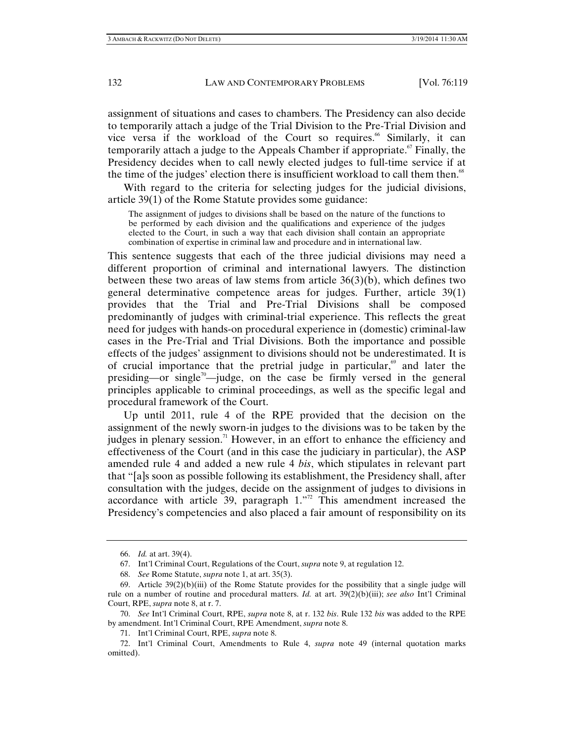assignment of situations and cases to chambers. The Presidency can also decide to temporarily attach a judge of the Trial Division to the Pre-Trial Division and vice versa if the workload of the Court so requires.<sup>66</sup> Similarly, it can temporarily attach a judge to the Appeals Chamber if appropriate.<sup> $\sigma$ </sup> Finally, the Presidency decides when to call newly elected judges to full-time service if at the time of the judges' election there is insufficient workload to call them then.<sup>68</sup>

With regard to the criteria for selecting judges for the judicial divisions, article 39(1) of the Rome Statute provides some guidance:

The assignment of judges to divisions shall be based on the nature of the functions to be performed by each division and the qualifications and experience of the judges elected to the Court, in such a way that each division shall contain an appropriate combination of expertise in criminal law and procedure and in international law.

This sentence suggests that each of the three judicial divisions may need a different proportion of criminal and international lawyers. The distinction between these two areas of law stems from article 36(3)(b), which defines two general determinative competence areas for judges. Further, article 39(1) provides that the Trial and Pre-Trial Divisions shall be composed predominantly of judges with criminal-trial experience. This reflects the great need for judges with hands-on procedural experience in (domestic) criminal-law cases in the Pre-Trial and Trial Divisions. Both the importance and possible effects of the judges' assignment to divisions should not be underestimated. It is of crucial importance that the pretrial judge in particular, $69$  and later the presiding—or single<sup>70</sup>—judge, on the case be firmly versed in the general principles applicable to criminal proceedings, as well as the specific legal and procedural framework of the Court.

Up until 2011, rule 4 of the RPE provided that the decision on the assignment of the newly sworn-in judges to the divisions was to be taken by the judges in plenary session.<sup>71</sup> However, in an effort to enhance the efficiency and effectiveness of the Court (and in this case the judiciary in particular), the ASP amended rule 4 and added a new rule 4 *bis*, which stipulates in relevant part that "[a]s soon as possible following its establishment, the Presidency shall, after consultation with the judges, decide on the assignment of judges to divisions in accordance with article  $39$ , paragraph  $1.^{72}$ . This amendment increased the Presidency's competencies and also placed a fair amount of responsibility on its

 <sup>66.</sup> *Id.* at art. 39(4).

 <sup>67.</sup> Int'l Criminal Court, Regulations of the Court, *supra* note 9, at regulation 12.

 <sup>68.</sup> *See* Rome Statute, *supra* note 1, at art. 35(3).

<sup>69.</sup> Article  $39(2)(b)(iii)$  of the Rome Statute provides for the possibility that a single judge will rule on a number of routine and procedural matters. *Id.* at art. 39(2)(b)(iii); *see also* Int'l Criminal Court, RPE, *supra* note 8, at r. 7.

 <sup>70.</sup> *See* Int'l Criminal Court, RPE, *supra* note 8, at r. 132 *bis*. Rule 132 *bis* was added to the RPE by amendment. Int'l Criminal Court, RPE Amendment, *supra* note 8.

 <sup>71.</sup> Int'l Criminal Court, RPE, *supra* note 8.

 <sup>72.</sup> Int'l Criminal Court, Amendments to Rule 4, *supra* note 49 (internal quotation marks omitted).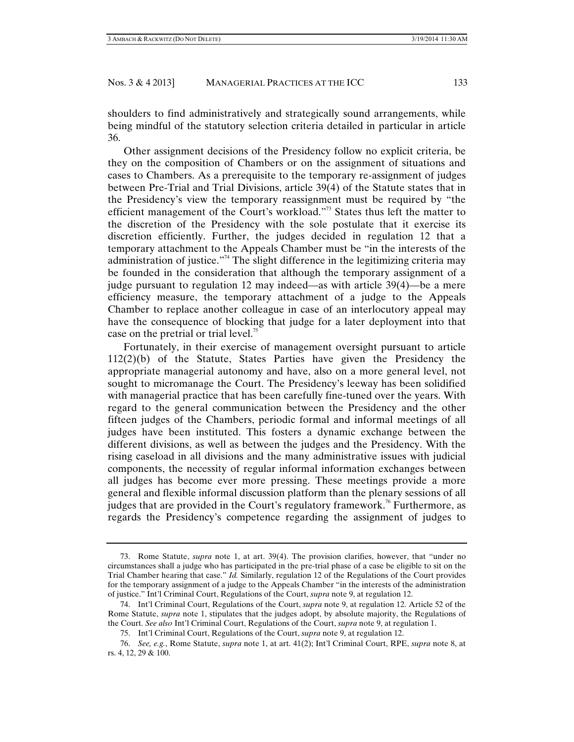shoulders to find administratively and strategically sound arrangements, while being mindful of the statutory selection criteria detailed in particular in article 36.

Other assignment decisions of the Presidency follow no explicit criteria, be they on the composition of Chambers or on the assignment of situations and cases to Chambers. As a prerequisite to the temporary re-assignment of judges between Pre-Trial and Trial Divisions, article 39(4) of the Statute states that in the Presidency's view the temporary reassignment must be required by "the efficient management of the Court's workload."<sup>3</sup> States thus left the matter to the discretion of the Presidency with the sole postulate that it exercise its discretion efficiently. Further, the judges decided in regulation 12 that a temporary attachment to the Appeals Chamber must be "in the interests of the administration of justice."<sup>74</sup> The slight difference in the legitimizing criteria may be founded in the consideration that although the temporary assignment of a judge pursuant to regulation 12 may indeed—as with article 39(4)—be a mere efficiency measure, the temporary attachment of a judge to the Appeals Chamber to replace another colleague in case of an interlocutory appeal may have the consequence of blocking that judge for a later deployment into that case on the pretrial or trial level.<sup>75</sup>

Fortunately, in their exercise of management oversight pursuant to article 112(2)(b) of the Statute, States Parties have given the Presidency the appropriate managerial autonomy and have, also on a more general level, not sought to micromanage the Court. The Presidency's leeway has been solidified with managerial practice that has been carefully fine-tuned over the years. With regard to the general communication between the Presidency and the other fifteen judges of the Chambers, periodic formal and informal meetings of all judges have been instituted. This fosters a dynamic exchange between the different divisions, as well as between the judges and the Presidency. With the rising caseload in all divisions and the many administrative issues with judicial components, the necessity of regular informal information exchanges between all judges has become ever more pressing. These meetings provide a more general and flexible informal discussion platform than the plenary sessions of all judges that are provided in the Court's regulatory framework.<sup>76</sup> Furthermore, as regards the Presidency's competence regarding the assignment of judges to

 <sup>73.</sup> Rome Statute, *supra* note 1, at art. 39(4). The provision clarifies, however, that "under no circumstances shall a judge who has participated in the pre-trial phase of a case be eligible to sit on the Trial Chamber hearing that case." *Id.* Similarly, regulation 12 of the Regulations of the Court provides for the temporary assignment of a judge to the Appeals Chamber "in the interests of the administration of justice." Int'l Criminal Court, Regulations of the Court, *supra* note 9, at regulation 12.

 <sup>74.</sup> Int'l Criminal Court, Regulations of the Court, *supra* note 9, at regulation 12. Article 52 of the Rome Statute, *supra* note 1, stipulates that the judges adopt, by absolute majority, the Regulations of the Court. *See also* Int'l Criminal Court, Regulations of the Court, *supra* note 9, at regulation 1.

 <sup>75.</sup> Int'l Criminal Court, Regulations of the Court, *supra* note 9, at regulation 12.

 <sup>76.</sup> *See, e.g.*, Rome Statute, *supra* note 1, at art. 41(2); Int'l Criminal Court, RPE, *supra* note 8, at rs. 4, 12, 29 & 100.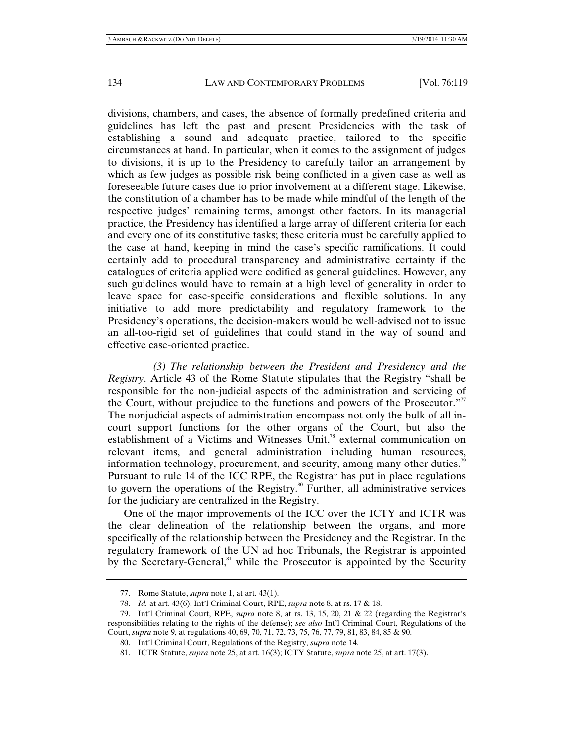divisions, chambers, and cases, the absence of formally predefined criteria and guidelines has left the past and present Presidencies with the task of establishing a sound and adequate practice, tailored to the specific circumstances at hand. In particular, when it comes to the assignment of judges to divisions, it is up to the Presidency to carefully tailor an arrangement by which as few judges as possible risk being conflicted in a given case as well as foreseeable future cases due to prior involvement at a different stage. Likewise, the constitution of a chamber has to be made while mindful of the length of the respective judges' remaining terms, amongst other factors. In its managerial practice, the Presidency has identified a large array of different criteria for each and every one of its constitutive tasks; these criteria must be carefully applied to the case at hand, keeping in mind the case's specific ramifications. It could certainly add to procedural transparency and administrative certainty if the catalogues of criteria applied were codified as general guidelines. However, any such guidelines would have to remain at a high level of generality in order to leave space for case-specific considerations and flexible solutions. In any initiative to add more predictability and regulatory framework to the Presidency's operations, the decision-makers would be well-advised not to issue an all-too-rigid set of guidelines that could stand in the way of sound and effective case-oriented practice.

*(3) The relationship between the President and Presidency and the Registry*. Article 43 of the Rome Statute stipulates that the Registry "shall be responsible for the non-judicial aspects of the administration and servicing of the Court, without prejudice to the functions and powers of the Prosecutor. $\mathbb{Z}^7$ The nonjudicial aspects of administration encompass not only the bulk of all incourt support functions for the other organs of the Court, but also the establishment of a Victims and Witnesses Unit,<sup>78</sup> external communication on relevant items, and general administration including human resources, information technology, procurement, and security, among many other duties.<sup>79</sup> Pursuant to rule 14 of the ICC RPE, the Registrar has put in place regulations to govern the operations of the Registry.<sup>80</sup> Further, all administrative services for the judiciary are centralized in the Registry.

One of the major improvements of the ICC over the ICTY and ICTR was the clear delineation of the relationship between the organs, and more specifically of the relationship between the Presidency and the Registrar. In the regulatory framework of the UN ad hoc Tribunals, the Registrar is appointed by the Secretary-General, $\alpha$ <sup>81</sup> while the Prosecutor is appointed by the Security

 <sup>77.</sup> Rome Statute, *supra* note 1, at art. 43(1).

 <sup>78.</sup> *Id.* at art. 43(6); Int'l Criminal Court, RPE, *supra* note 8, at rs. 17 & 18.

 <sup>79.</sup> Int'l Criminal Court, RPE, *supra* note 8, at rs. 13, 15, 20, 21 & 22 (regarding the Registrar's responsibilities relating to the rights of the defense); *see also* Int'l Criminal Court, Regulations of the Court, *supra* note 9, at regulations 40, 69, 70, 71, 72, 73, 75, 76, 77, 79, 81, 83, 84, 85 & 90.

 <sup>80.</sup> Int'l Criminal Court, Regulations of the Registry, *supra* note 14.

 <sup>81.</sup> ICTR Statute, *supra* note 25, at art. 16(3); ICTY Statute, *supra* note 25, at art. 17(3).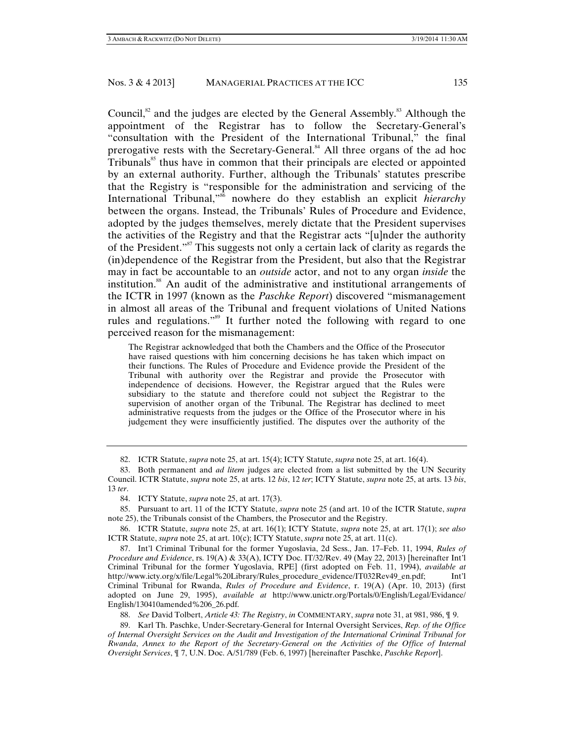Council, $82$  and the judges are elected by the General Assembly.<sup>83</sup> Although the appointment of the Registrar has to follow the Secretary-General's "consultation with the President of the International Tribunal," the final prerogative rests with the Secretary-General.<sup>84</sup> All three organs of the ad hoc  $Tribunals<sup>85</sup>$  thus have in common that their principals are elected or appointed by an external authority. Further, although the Tribunals' statutes prescribe that the Registry is "responsible for the administration and servicing of the International Tribunal,"86 nowhere do they establish an explicit *hierarchy* between the organs. Instead, the Tribunals' Rules of Procedure and Evidence, adopted by the judges themselves, merely dictate that the President supervises the activities of the Registry and that the Registrar acts "[u]nder the authority of the President."87 This suggests not only a certain lack of clarity as regards the (in)dependence of the Registrar from the President, but also that the Registrar may in fact be accountable to an *outside* actor, and not to any organ *inside* the institution.88 An audit of the administrative and institutional arrangements of the ICTR in 1997 (known as the *Paschke Report*) discovered "mismanagement in almost all areas of the Tribunal and frequent violations of United Nations rules and regulations."<sup>89</sup> It further noted the following with regard to one perceived reason for the mismanagement:

The Registrar acknowledged that both the Chambers and the Office of the Prosecutor have raised questions with him concerning decisions he has taken which impact on their functions. The Rules of Procedure and Evidence provide the President of the Tribunal with authority over the Registrar and provide the Prosecutor with independence of decisions. However, the Registrar argued that the Rules were subsidiary to the statute and therefore could not subject the Registrar to the supervision of another organ of the Tribunal. The Registrar has declined to meet administrative requests from the judges or the Office of the Prosecutor where in his judgement they were insufficiently justified. The disputes over the authority of the

88. *See* David Tolbert, *Article 43: The Registry*, *in* COMMENTARY, *supra* note 31, at 981, 986, ¶ 9.

 89. Karl Th. Paschke, Under-Secretary-General for Internal Oversight Services, *Rep. of the Office of Internal Oversight Services on the Audit and Investigation of the International Criminal Tribunal for Rwanda*, *Annex to the Report of the Secretary-General on the Activities of the Office of Internal Oversight Services*, ¶ 7, U.N. Doc. A/51/789 (Feb. 6, 1997) [hereinafter Paschke, *Paschke Report*].

 <sup>82.</sup> ICTR Statute, *supra* note 25, at art. 15(4); ICTY Statute, *supra* note 25, at art. 16(4).

 <sup>83.</sup> Both permanent and *ad litem* judges are elected from a list submitted by the UN Security Council. ICTR Statute, *supra* note 25, at arts. 12 *bis*, 12 *ter*; ICTY Statute, *supra* note 25, at arts. 13 *bis*, 13 *ter*.

 <sup>84.</sup> ICTY Statute, *supra* note 25, at art. 17(3).

 <sup>85.</sup> Pursuant to art. 11 of the ICTY Statute, *supra* note 25 (and art. 10 of the ICTR Statute, *supra* note 25), the Tribunals consist of the Chambers, the Prosecutor and the Registry.

 <sup>86.</sup> ICTR Statute, *supra* note 25, at art. 16(1); ICTY Statute, *supra* note 25, at art. 17(1); *see also*  ICTR Statute, *supra* note 25, at art. 10(c); ICTY Statute, *supra* note 25, at art. 11(c).

 <sup>87.</sup> Int'l Criminal Tribunal for the former Yugoslavia, 2d Sess., Jan. 17–Feb. 11, 1994, *Rules of Procedure and Evidence*, rs. 19(A) & 33(A), ICTY Doc. IT/32/Rev. 49 (May 22, 2013) [hereinafter Int'l Criminal Tribunal for the former Yugoslavia, RPE] (first adopted on Feb. 11, 1994), *available at*  http://www.icty.org/x/file/Legal%20Library/Rules\_procedure\_evidence/IT032Rev49\_en.pdf; Int'l Criminal Tribunal for Rwanda, *Rules of Procedure and Evidence*, r. 19(A) (Apr. 10, 2013) (first adopted on June 29, 1995), *available at* http://www.unictr.org/Portals/0/English/Legal/Evidance/ English/130410amended%206\_26.pdf.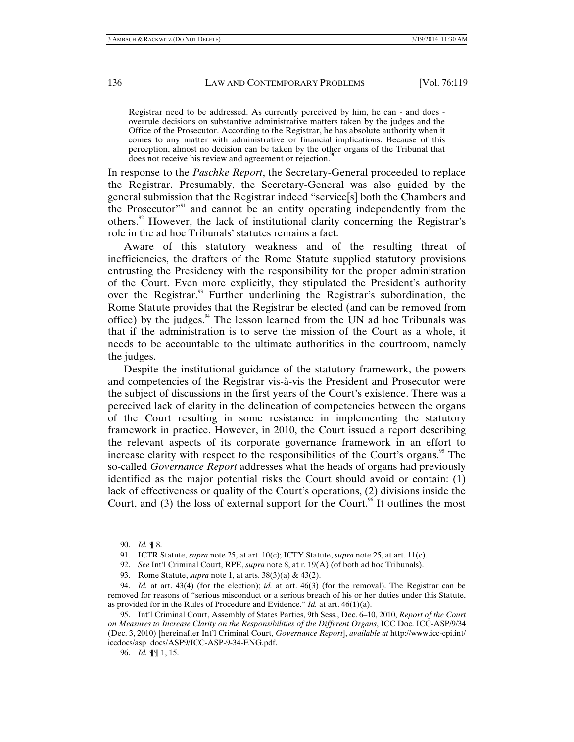Registrar need to be addressed. As currently perceived by him, he can - and does overrule decisions on substantive administrative matters taken by the judges and the Office of the Prosecutor. According to the Registrar, he has absolute authority when it comes to any matter with administrative or financial implications. Because of this perception, almost no decision can be taken by the other organs of the Tribunal that does not receive his review and agreement or rejection.<sup>9</sup>

In response to the *Paschke Report*, the Secretary-General proceeded to replace the Registrar. Presumably, the Secretary-General was also guided by the general submission that the Registrar indeed "service[s] both the Chambers and the Prosecutor"91 and cannot be an entity operating independently from the others.<sup>92</sup> However, the lack of institutional clarity concerning the Registrar's role in the ad hoc Tribunals' statutes remains a fact.

Aware of this statutory weakness and of the resulting threat of inefficiencies, the drafters of the Rome Statute supplied statutory provisions entrusting the Presidency with the responsibility for the proper administration of the Court. Even more explicitly, they stipulated the President's authority over the Registrar.<sup>93</sup> Further underlining the Registrar's subordination, the Rome Statute provides that the Registrar be elected (and can be removed from office) by the judges. $94$  The lesson learned from the UN ad hoc Tribunals was that if the administration is to serve the mission of the Court as a whole, it needs to be accountable to the ultimate authorities in the courtroom, namely the judges.

Despite the institutional guidance of the statutory framework, the powers and competencies of the Registrar vis-à-vis the President and Prosecutor were the subject of discussions in the first years of the Court's existence. There was a perceived lack of clarity in the delineation of competencies between the organs of the Court resulting in some resistance in implementing the statutory framework in practice. However, in 2010, the Court issued a report describing the relevant aspects of its corporate governance framework in an effort to increase clarity with respect to the responsibilities of the Court's organs.<sup>95</sup> The so-called *Governance Report* addresses what the heads of organs had previously identified as the major potential risks the Court should avoid or contain: (1) lack of effectiveness or quality of the Court's operations, (2) divisions inside the Court, and  $(3)$  the loss of external support for the Court.<sup>96</sup> It outlines the most

 <sup>90.</sup> *Id.* ¶ 8.

 <sup>91.</sup> ICTR Statute, *supra* note 25, at art. 10(c); ICTY Statute, *supra* note 25, at art. 11(c).

 <sup>92.</sup> *See* Int'l Criminal Court, RPE, *supra* note 8, at r. 19(A) (of both ad hoc Tribunals).

 <sup>93.</sup> Rome Statute, *supra* note 1, at arts. 38(3)(a) & 43(2).

 <sup>94.</sup> *Id.* at art. 43(4) (for the election); *id.* at art. 46(3) (for the removal). The Registrar can be removed for reasons of "serious misconduct or a serious breach of his or her duties under this Statute, as provided for in the Rules of Procedure and Evidence." *Id.* at art. 46(1)(a).

 <sup>95.</sup> Int'l Criminal Court, Assembly of States Parties, 9th Sess., Dec. 6–10, 2010, *Report of the Court on Measures to Increase Clarity on the Responsibilities of the Different Organs*, ICC Doc. ICC-ASP/9/34 (Dec. 3, 2010) [hereinafter Int'l Criminal Court, *Governance Report*], *available at* http://www.icc-cpi.int/ iccdocs/asp\_docs/ASP9/ICC-ASP-9-34-ENG.pdf.

 <sup>96.</sup> *Id.* ¶¶ 1, 15.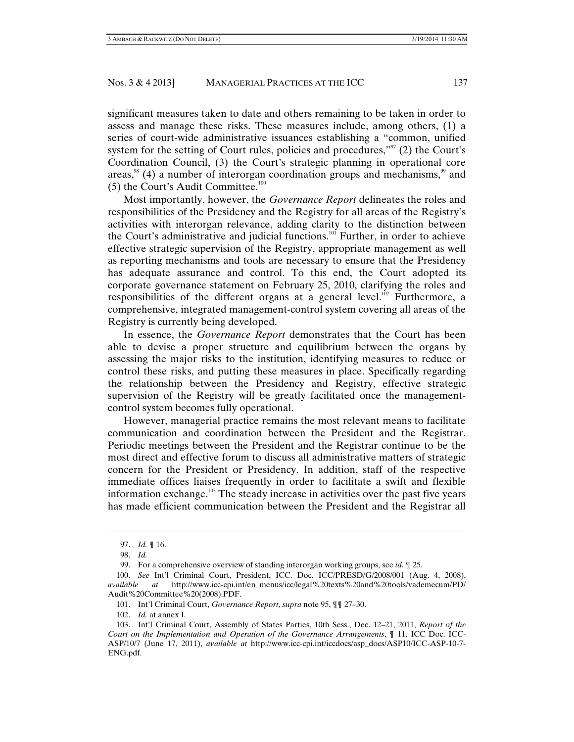significant measures taken to date and others remaining to be taken in order to assess and manage these risks. These measures include, among others, (1) a series of court-wide administrative issuances establishing a "common, unified system for the setting of Court rules, policies and procedures," $(2)$  the Court's Coordination Council, (3) the Court's strategic planning in operational core areas, $\frac{98}{9}$  (4) a number of interorgan coordination groups and mechanisms, $\frac{99}{9}$  and  $(5)$  the Court's Audit Committee.<sup>100</sup>

Most importantly, however, the *Governance Report* delineates the roles and responsibilities of the Presidency and the Registry for all areas of the Registry's activities with interorgan relevance, adding clarity to the distinction between the Court's administrative and judicial functions.<sup>101</sup> Further, in order to achieve effective strategic supervision of the Registry, appropriate management as well as reporting mechanisms and tools are necessary to ensure that the Presidency has adequate assurance and control. To this end, the Court adopted its corporate governance statement on February 25, 2010, clarifying the roles and responsibilities of the different organs at a general level.<sup>102</sup> Furthermore, a comprehensive, integrated management-control system covering all areas of the Registry is currently being developed.

In essence, the *Governance Report* demonstrates that the Court has been able to devise a proper structure and equilibrium between the organs by assessing the major risks to the institution, identifying measures to reduce or control these risks, and putting these measures in place. Specifically regarding the relationship between the Presidency and Registry, effective strategic supervision of the Registry will be greatly facilitated once the managementcontrol system becomes fully operational.

However, managerial practice remains the most relevant means to facilitate communication and coordination between the President and the Registrar. Periodic meetings between the President and the Registrar continue to be the most direct and effective forum to discuss all administrative matters of strategic concern for the President or Presidency. In addition, staff of the respective immediate offices liaises frequently in order to facilitate a swift and flexible information exchange.<sup>103</sup> The steady increase in activities over the past five years has made efficient communication between the President and the Registrar all

 <sup>97.</sup> *Id.* ¶ 16.

 <sup>98.</sup> *Id.*

 <sup>99.</sup> For a comprehensive overview of standing interorgan working groups, see *id.* ¶ 25.

 <sup>100.</sup> *See* Int'l Criminal Court, President, ICC. Doc. ICC/PRESD/G/2008/001 (Aug. 4, 2008), *available at* http://www.icc-cpi.int/en\_menus/icc/legal%20texts%20and%20tools/vademecum/PD/ Audit%20Committee%20(2008).PDF.

 <sup>101.</sup> Int'l Criminal Court, *Governance Report*, *supra* note 95, ¶¶ 27–30.

 <sup>102.</sup> *Id.* at annex I.

 <sup>103.</sup> Int'l Criminal Court, Assembly of States Parties, 10th Sess., Dec. 12–21, 2011, *Report of the Court on the Implementation and Operation of the Governance Arrangements*, ¶ 11, ICC Doc. ICC-ASP/10/7 (June 17, 2011), *available at* http://www.icc-cpi.int/iccdocs/asp\_docs/ASP10/ICC-ASP-10-7- ENG.pdf.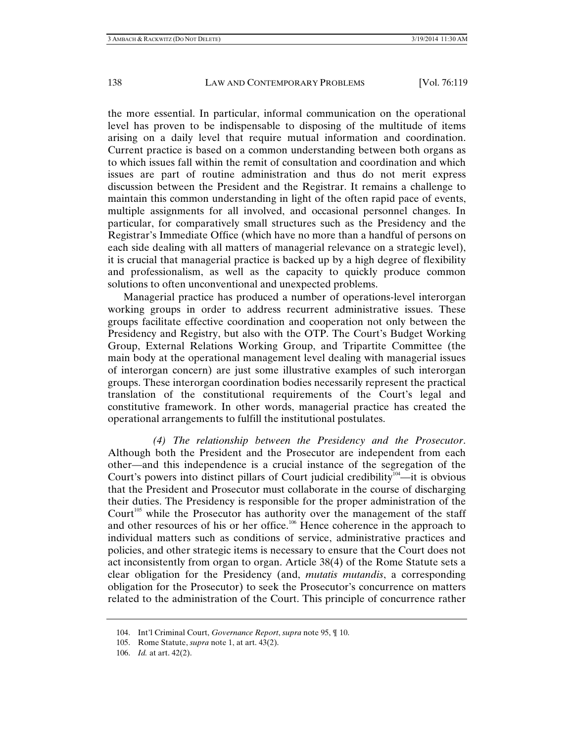the more essential. In particular, informal communication on the operational level has proven to be indispensable to disposing of the multitude of items arising on a daily level that require mutual information and coordination. Current practice is based on a common understanding between both organs as to which issues fall within the remit of consultation and coordination and which issues are part of routine administration and thus do not merit express discussion between the President and the Registrar. It remains a challenge to maintain this common understanding in light of the often rapid pace of events, multiple assignments for all involved, and occasional personnel changes. In particular, for comparatively small structures such as the Presidency and the Registrar's Immediate Office (which have no more than a handful of persons on each side dealing with all matters of managerial relevance on a strategic level), it is crucial that managerial practice is backed up by a high degree of flexibility and professionalism, as well as the capacity to quickly produce common solutions to often unconventional and unexpected problems.

Managerial practice has produced a number of operations-level interorgan working groups in order to address recurrent administrative issues. These groups facilitate effective coordination and cooperation not only between the Presidency and Registry, but also with the OTP. The Court's Budget Working Group, External Relations Working Group, and Tripartite Committee (the main body at the operational management level dealing with managerial issues of interorgan concern) are just some illustrative examples of such interorgan groups. These interorgan coordination bodies necessarily represent the practical translation of the constitutional requirements of the Court's legal and constitutive framework. In other words, managerial practice has created the operational arrangements to fulfill the institutional postulates.

*(4) The relationship between the Presidency and the Prosecutor*. Although both the President and the Prosecutor are independent from each other—and this independence is a crucial instance of the segregation of the Court's powers into distinct pillars of Court judicial credibility $104$ —it is obvious that the President and Prosecutor must collaborate in the course of discharging their duties. The Presidency is responsible for the proper administration of the Court<sup>105</sup> while the Prosecutor has authority over the management of the staff and other resources of his or her office.<sup>106</sup> Hence coherence in the approach to individual matters such as conditions of service, administrative practices and policies, and other strategic items is necessary to ensure that the Court does not act inconsistently from organ to organ. Article 38(4) of the Rome Statute sets a clear obligation for the Presidency (and, *mutatis mutandis*, a corresponding obligation for the Prosecutor) to seek the Prosecutor's concurrence on matters related to the administration of the Court. This principle of concurrence rather

 <sup>104.</sup> Int'l Criminal Court, *Governance Report*, *supra* note 95, ¶ 10.

 <sup>105.</sup> Rome Statute, *supra* note 1, at art. 43(2).

 <sup>106.</sup> *Id.* at art. 42(2).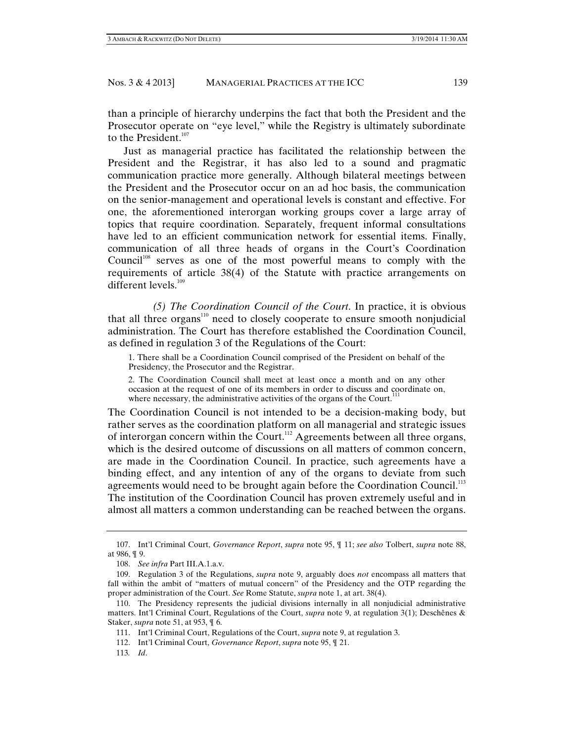than a principle of hierarchy underpins the fact that both the President and the Prosecutor operate on "eye level," while the Registry is ultimately subordinate to the President.<sup>107</sup>

Just as managerial practice has facilitated the relationship between the President and the Registrar, it has also led to a sound and pragmatic communication practice more generally. Although bilateral meetings between the President and the Prosecutor occur on an ad hoc basis, the communication on the senior-management and operational levels is constant and effective. For one, the aforementioned interorgan working groups cover a large array of topics that require coordination. Separately, frequent informal consultations have led to an efficient communication network for essential items. Finally, communication of all three heads of organs in the Court's Coordination Council<sup>108</sup> serves as one of the most powerful means to comply with the requirements of article 38(4) of the Statute with practice arrangements on different levels. $109$ 

*(5) The Coordination Council of the Court*. In practice, it is obvious that all three  $organs<sup>110</sup>$  need to closely cooperate to ensure smooth nonjudicial administration. The Court has therefore established the Coordination Council, as defined in regulation 3 of the Regulations of the Court:

1. There shall be a Coordination Council comprised of the President on behalf of the Presidency, the Prosecutor and the Registrar.

2. The Coordination Council shall meet at least once a month and on any other occasion at the request of one of its members in order to discuss and coordinate on, where necessary, the administrative activities of the organs of the Court.<sup>1</sup>

The Coordination Council is not intended to be a decision-making body, but rather serves as the coordination platform on all managerial and strategic issues of interorgan concern within the Court.<sup>112</sup> Agreements between all three organs, which is the desired outcome of discussions on all matters of common concern, are made in the Coordination Council. In practice, such agreements have a binding effect, and any intention of any of the organs to deviate from such agreements would need to be brought again before the Coordination Council.<sup>113</sup> The institution of the Coordination Council has proven extremely useful and in almost all matters a common understanding can be reached between the organs.

113*. Id*.

 <sup>107.</sup> Int'l Criminal Court, *Governance Report*, *supra* note 95, ¶ 11; *see also* Tolbert, *supra* note 88, at 986, ¶ 9.

 <sup>108.</sup> *See infra* Part III.A.1.a.v.

 <sup>109.</sup> Regulation 3 of the Regulations, *supra* note 9, arguably does *not* encompass all matters that fall within the ambit of "matters of mutual concern" of the Presidency and the OTP regarding the proper administration of the Court. *See* Rome Statute, *supra* note 1, at art. 38(4).

 <sup>110.</sup> The Presidency represents the judicial divisions internally in all nonjudicial administrative matters. Int'l Criminal Court, Regulations of the Court, *supra* note 9, at regulation 3(1); Deschênes & Staker, *supra* note 51, at 953, ¶ 6.

 <sup>111.</sup> Int'l Criminal Court, Regulations of the Court, *supra* note 9, at regulation 3.

 <sup>112.</sup> Int'l Criminal Court, *Governance Report*, *supra* note 95, ¶ 21.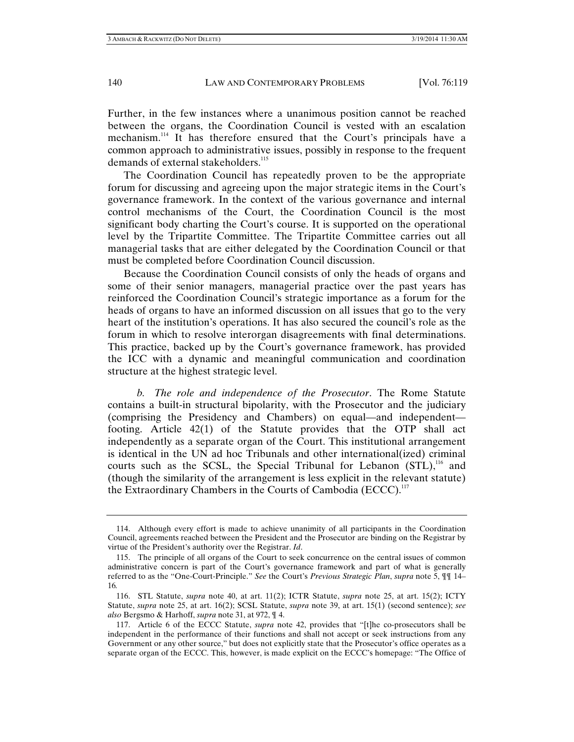Further, in the few instances where a unanimous position cannot be reached between the organs, the Coordination Council is vested with an escalation mechanism.114 It has therefore ensured that the Court's principals have a common approach to administrative issues, possibly in response to the frequent demands of external stakeholders.<sup>115</sup>

The Coordination Council has repeatedly proven to be the appropriate forum for discussing and agreeing upon the major strategic items in the Court's governance framework. In the context of the various governance and internal control mechanisms of the Court, the Coordination Council is the most significant body charting the Court's course. It is supported on the operational level by the Tripartite Committee. The Tripartite Committee carries out all managerial tasks that are either delegated by the Coordination Council or that must be completed before Coordination Council discussion.

Because the Coordination Council consists of only the heads of organs and some of their senior managers, managerial practice over the past years has reinforced the Coordination Council's strategic importance as a forum for the heads of organs to have an informed discussion on all issues that go to the very heart of the institution's operations. It has also secured the council's role as the forum in which to resolve interorgan disagreements with final determinations. This practice, backed up by the Court's governance framework, has provided the ICC with a dynamic and meaningful communication and coordination structure at the highest strategic level.

 *b. The role and independence of the Prosecutor*. The Rome Statute contains a built-in structural bipolarity, with the Prosecutor and the judiciary (comprising the Presidency and Chambers) on equal—and independent footing. Article 42(1) of the Statute provides that the OTP shall act independently as a separate organ of the Court. This institutional arrangement is identical in the UN ad hoc Tribunals and other international(ized) criminal courts such as the SCSL, the Special Tribunal for Lebanon  $(STL)$ ,<sup>116</sup> and (though the similarity of the arrangement is less explicit in the relevant statute) the Extraordinary Chambers in the Courts of Cambodia (ECCC).<sup>117</sup>

 <sup>114.</sup> Although every effort is made to achieve unanimity of all participants in the Coordination Council, agreements reached between the President and the Prosecutor are binding on the Registrar by virtue of the President's authority over the Registrar. *Id*.

 <sup>115.</sup> The principle of all organs of the Court to seek concurrence on the central issues of common administrative concern is part of the Court's governance framework and part of what is generally referred to as the "One-Court-Principle." *See* the Court's *Previous Strategic Plan*, *supra* note 5, ¶¶ 14– 16*.* 

 <sup>116.</sup> STL Statute, *supra* note 40, at art. 11(2); ICTR Statute, *supra* note 25, at art. 15(2); ICTY Statute, *supra* note 25, at art. 16(2); SCSL Statute, *supra* note 39, at art. 15(1) (second sentence); *see also* Bergsmo & Harhoff, *supra* note 31, at 972, ¶ 4.

 <sup>117.</sup> Article 6 of the ECCC Statute, *supra* note 42, provides that "[t]he co-prosecutors shall be independent in the performance of their functions and shall not accept or seek instructions from any Government or any other source," but does not explicitly state that the Prosecutor's office operates as a separate organ of the ECCC. This, however, is made explicit on the ECCC's homepage: "The Office of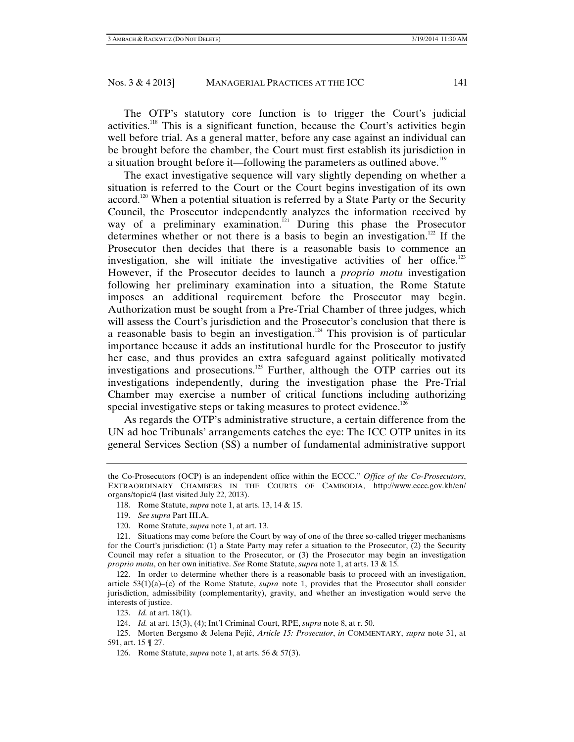The OTP's statutory core function is to trigger the Court's judicial activities.118 This is a significant function, because the Court's activities begin well before trial. As a general matter, before any case against an individual can be brought before the chamber, the Court must first establish its jurisdiction in a situation brought before it—following the parameters as outlined above.<sup>119</sup>

The exact investigative sequence will vary slightly depending on whether a situation is referred to the Court or the Court begins investigation of its own accord.<sup>120</sup> When a potential situation is referred by a State Party or the Security Council, the Prosecutor independently analyzes the information received by way of a preliminary examination.<sup> $121$ </sup> During this phase the Prosecutor determines whether or not there is a basis to begin an investigation.<sup>122</sup> If the Prosecutor then decides that there is a reasonable basis to commence an investigation, she will initiate the investigative activities of her office.<sup>123</sup> However, if the Prosecutor decides to launch a *proprio motu* investigation following her preliminary examination into a situation, the Rome Statute imposes an additional requirement before the Prosecutor may begin. Authorization must be sought from a Pre-Trial Chamber of three judges, which will assess the Court's jurisdiction and the Prosecutor's conclusion that there is a reasonable basis to begin an investigation.<sup>124</sup> This provision is of particular importance because it adds an institutional hurdle for the Prosecutor to justify her case, and thus provides an extra safeguard against politically motivated investigations and prosecutions.<sup>125</sup> Further, although the OTP carries out its investigations independently, during the investigation phase the Pre-Trial Chamber may exercise a number of critical functions including authorizing special investigative steps or taking measures to protect evidence.<sup>126</sup>

As regards the OTP's administrative structure, a certain difference from the UN ad hoc Tribunals' arrangements catches the eye: The ICC OTP unites in its general Services Section (SS) a number of fundamental administrative support

 122. In order to determine whether there is a reasonable basis to proceed with an investigation, article 53(1)(a)–(c) of the Rome Statute, *supra* note 1, provides that the Prosecutor shall consider jurisdiction, admissibility (complementarity), gravity, and whether an investigation would serve the interests of justice.

 125. Morten Bergsmo & Jelena Pejić, *Article 15: Prosecutor*, *in* COMMENTARY, *supra* note 31, at 591, art. 15 ¶ 27.

the Co-Prosecutors (OCP) is an independent office within the ECCC." *Office of the Co-Prosecutors*, EXTRAORDINARY CHAMBERS IN THE COURTS OF CAMBODIA, http://www.eccc.gov.kh/en/ organs/topic/4 (last visited July 22, 2013).

 <sup>118.</sup> Rome Statute, *supra* note 1, at arts. 13, 14 & 15.

 <sup>119.</sup> *See supra* Part III.A.

 <sup>120.</sup> Rome Statute, *supra* note 1, at art. 13.

 <sup>121.</sup> Situations may come before the Court by way of one of the three so-called trigger mechanisms for the Court's jurisdiction: (1) a State Party may refer a situation to the Prosecutor, (2) the Security Council may refer a situation to the Prosecutor, or (3) the Prosecutor may begin an investigation *proprio motu*, on her own initiative. *See* Rome Statute, *supra* note 1, at arts. 13 & 15.

 <sup>123.</sup> *Id.* at art. 18(1).

 <sup>124.</sup> *Id.* at art. 15(3), (4); Int'l Criminal Court, RPE, *supra* note 8, at r. 50.

 <sup>126.</sup> Rome Statute, *supra* note 1, at arts. 56 & 57(3).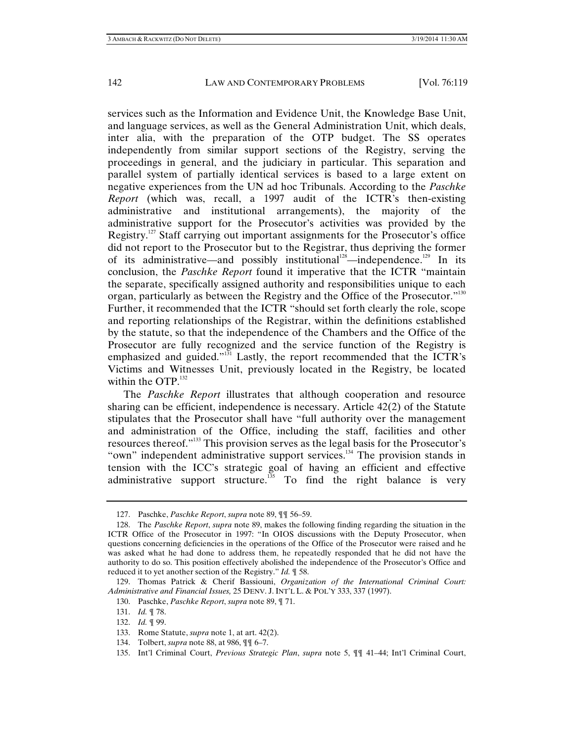services such as the Information and Evidence Unit, the Knowledge Base Unit, and language services, as well as the General Administration Unit, which deals, inter alia, with the preparation of the OTP budget. The SS operates independently from similar support sections of the Registry, serving the proceedings in general, and the judiciary in particular. This separation and parallel system of partially identical services is based to a large extent on negative experiences from the UN ad hoc Tribunals. According to the *Paschke Report* (which was, recall, a 1997 audit of the ICTR's then-existing administrative and institutional arrangements), the majority of the administrative support for the Prosecutor's activities was provided by the Registry.127 Staff carrying out important assignments for the Prosecutor's office did not report to the Prosecutor but to the Registrar, thus depriving the former of its administrative—and possibly institutional<sup>128</sup>—independence.<sup>129</sup> In its conclusion, the *Paschke Report* found it imperative that the ICTR "maintain the separate, specifically assigned authority and responsibilities unique to each organ, particularly as between the Registry and the Office of the Prosecutor."<sup>130</sup> Further, it recommended that the ICTR "should set forth clearly the role, scope and reporting relationships of the Registrar, within the definitions established by the statute, so that the independence of the Chambers and the Office of the Prosecutor are fully recognized and the service function of the Registry is emphasized and guided."<sup>131</sup> Lastly, the report recommended that the ICTR's Victims and Witnesses Unit, previously located in the Registry, be located within the OTP. $^{132}$ 

The *Paschke Report* illustrates that although cooperation and resource sharing can be efficient, independence is necessary. Article  $42(2)$  of the Statute stipulates that the Prosecutor shall have "full authority over the management and administration of the Office, including the staff, facilities and other resources thereof."133 This provision serves as the legal basis for the Prosecutor's "own" independent administrative support services.<sup>134</sup> The provision stands in tension with the ICC's strategic goal of having an efficient and effective administrative support structure.<sup>135</sup> To find the right balance is very

134. Tolbert, *supra* note 88, at 986, ¶¶ 6–7.

 <sup>127.</sup> Paschke, *Paschke Report*, *supra* note 89, ¶¶ 56–59.

 <sup>128.</sup> The *Paschke Report*, *supra* note 89, makes the following finding regarding the situation in the ICTR Office of the Prosecutor in 1997: "In OIOS discussions with the Deputy Prosecutor, when questions concerning deficiencies in the operations of the Office of the Prosecutor were raised and he was asked what he had done to address them, he repeatedly responded that he did not have the authority to do so. This position effectively abolished the independence of the Prosecutor's Office and reduced it to yet another section of the Registry." *Id.* ¶ 58.

 <sup>129.</sup> Thomas Patrick & Cherif Bassiouni, *Organization of the International Criminal Court: Administrative and Financial Issues,* 25 DENV. J. INT'L L. & POL'Y 333, 337 (1997).

 <sup>130.</sup> Paschke, *Paschke Report*, *supra* note 89, ¶ 71.

 <sup>131.</sup> *Id.* ¶ 78.

 <sup>132.</sup> *Id.* ¶ 99.

 <sup>133.</sup> Rome Statute, *supra* note 1, at art. 42(2).

 <sup>135.</sup> Int'l Criminal Court, *Previous Strategic Plan*, *supra* note 5, ¶¶ 41–44; Int'l Criminal Court,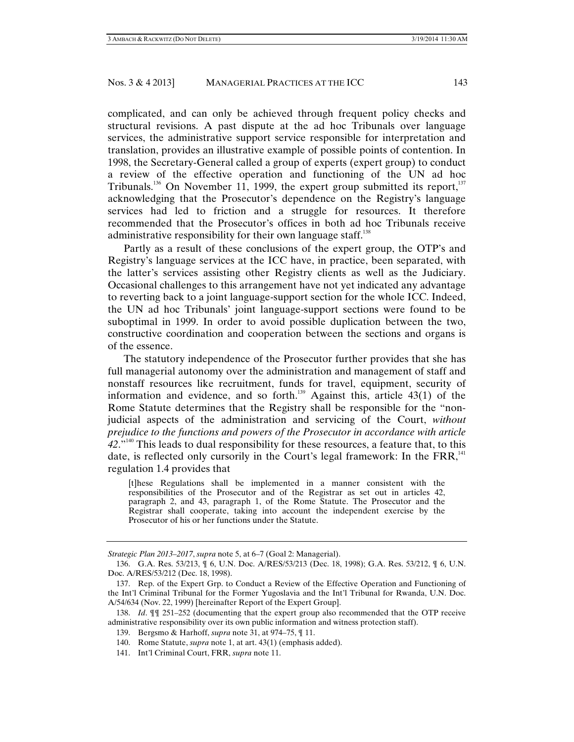complicated, and can only be achieved through frequent policy checks and structural revisions. A past dispute at the ad hoc Tribunals over language services, the administrative support service responsible for interpretation and translation, provides an illustrative example of possible points of contention. In 1998, the Secretary-General called a group of experts (expert group) to conduct a review of the effective operation and functioning of the UN ad hoc Tribunals.<sup>136</sup> On November 11, 1999, the expert group submitted its report,<sup>137</sup> acknowledging that the Prosecutor's dependence on the Registry's language services had led to friction and a struggle for resources. It therefore recommended that the Prosecutor's offices in both ad hoc Tribunals receive administrative responsibility for their own language staff.<sup>138</sup>

Partly as a result of these conclusions of the expert group, the OTP's and Registry's language services at the ICC have, in practice, been separated, with the latter's services assisting other Registry clients as well as the Judiciary. Occasional challenges to this arrangement have not yet indicated any advantage to reverting back to a joint language-support section for the whole ICC. Indeed, the UN ad hoc Tribunals' joint language-support sections were found to be suboptimal in 1999. In order to avoid possible duplication between the two, constructive coordination and cooperation between the sections and organs is of the essence.

The statutory independence of the Prosecutor further provides that she has full managerial autonomy over the administration and management of staff and nonstaff resources like recruitment, funds for travel, equipment, security of information and evidence, and so forth.<sup>139</sup> Against this, article 43(1) of the Rome Statute determines that the Registry shall be responsible for the "nonjudicial aspects of the administration and servicing of the Court, *without prejudice to the functions and powers of the Prosecutor in accordance with article 42*."140 This leads to dual responsibility for these resources, a feature that, to this date, is reflected only cursorily in the Court's legal framework: In the FRR,<sup>141</sup> regulation 1.4 provides that

[t]hese Regulations shall be implemented in a manner consistent with the responsibilities of the Prosecutor and of the Registrar as set out in articles 42, paragraph 2, and 43, paragraph 1, of the Rome Statute. The Prosecutor and the Registrar shall cooperate, taking into account the independent exercise by the Prosecutor of his or her functions under the Statute.

141. Int'l Criminal Court, FRR, *supra* note 11.

*Strategic Plan 2013–2017*, *supra* note 5, at 6–7 (Goal 2: Managerial).

 <sup>136.</sup> G.A. Res. 53/213, ¶ 6, U.N. Doc. A/RES/53/213 (Dec. 18, 1998); G.A. Res. 53/212, ¶ 6, U.N. Doc. A/RES/53/212 (Dec. 18, 1998).

 <sup>137.</sup> Rep. of the Expert Grp. to Conduct a Review of the Effective Operation and Functioning of the Int'l Criminal Tribunal for the Former Yugoslavia and the Int'l Tribunal for Rwanda, U.N. Doc. A/54/634 (Nov. 22, 1999) [hereinafter Report of the Expert Group].

 <sup>138.</sup> *Id*. ¶¶ 251–252 (documenting that the expert group also recommended that the OTP receive administrative responsibility over its own public information and witness protection staff).

 <sup>139.</sup> Bergsmo & Harhoff, *supra* note 31, at 974–75, ¶ 11.

 <sup>140.</sup> Rome Statute, *supra* note 1, at art. 43(1) (emphasis added).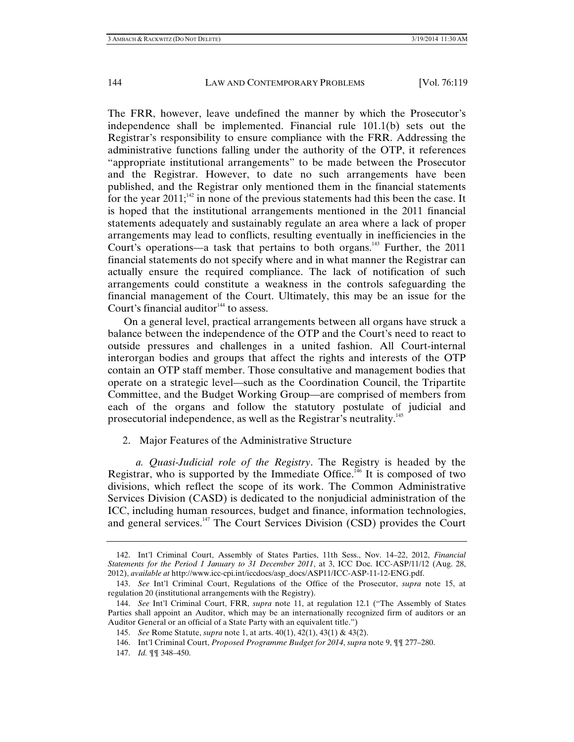The FRR, however, leave undefined the manner by which the Prosecutor's independence shall be implemented. Financial rule 101.1(b) sets out the Registrar's responsibility to ensure compliance with the FRR. Addressing the administrative functions falling under the authority of the OTP, it references "appropriate institutional arrangements" to be made between the Prosecutor and the Registrar. However, to date no such arrangements have been published, and the Registrar only mentioned them in the financial statements for the year 2011;<sup>142</sup> in none of the previous statements had this been the case. It is hoped that the institutional arrangements mentioned in the 2011 financial statements adequately and sustainably regulate an area where a lack of proper arrangements may lead to conflicts, resulting eventually in inefficiencies in the Court's operations—a task that pertains to both organs.<sup>143</sup> Further, the  $2011$ financial statements do not specify where and in what manner the Registrar can actually ensure the required compliance. The lack of notification of such arrangements could constitute a weakness in the controls safeguarding the financial management of the Court. Ultimately, this may be an issue for the Court's financial auditor<sup> $144$ </sup> to assess.

On a general level, practical arrangements between all organs have struck a balance between the independence of the OTP and the Court's need to react to outside pressures and challenges in a united fashion. All Court-internal interorgan bodies and groups that affect the rights and interests of the OTP contain an OTP staff member. Those consultative and management bodies that operate on a strategic level—such as the Coordination Council, the Tripartite Committee, and the Budget Working Group—are comprised of members from each of the organs and follow the statutory postulate of judicial and prosecutorial independence, as well as the Registrar's neutrality.145

2. Major Features of the Administrative Structure

*a. Quasi-Judicial role of the Registry*. The Registry is headed by the Registrar, who is supported by the Immediate Office.<sup>146</sup> It is composed of two divisions, which reflect the scope of its work. The Common Administrative Services Division (CASD) is dedicated to the nonjudicial administration of the ICC, including human resources, budget and finance, information technologies, and general services.<sup>147</sup> The Court Services Division (CSD) provides the Court

147. *Id.* ¶¶ 348–450.

 <sup>142.</sup> Int'l Criminal Court, Assembly of States Parties, 11th Sess., Nov. 14–22, 2012, *Financial Statements for the Period 1 January to 31 December 2011*, at 3, ICC Doc. ICC-ASP/11/12 (Aug. 28, 2012), *available at* http://www.icc-cpi.int/iccdocs/asp\_docs/ASP11/ICC-ASP-11-12-ENG.pdf.

 <sup>143.</sup> *See* Int'l Criminal Court, Regulations of the Office of the Prosecutor, *supra* note 15, at regulation 20 (institutional arrangements with the Registry).

 <sup>144.</sup> *See* Int'l Criminal Court, FRR, *supra* note 11, at regulation 12.1 ("The Assembly of States Parties shall appoint an Auditor, which may be an internationally recognized firm of auditors or an Auditor General or an official of a State Party with an equivalent title.")

 <sup>145.</sup> *See* Rome Statute, *supra* note 1, at arts. 40(1), 42(1), 43(1) & 43(2).

 <sup>146.</sup> Int'l Criminal Court, *Proposed Programme Budget for 2014*, *supra* note 9, ¶¶ 277–280.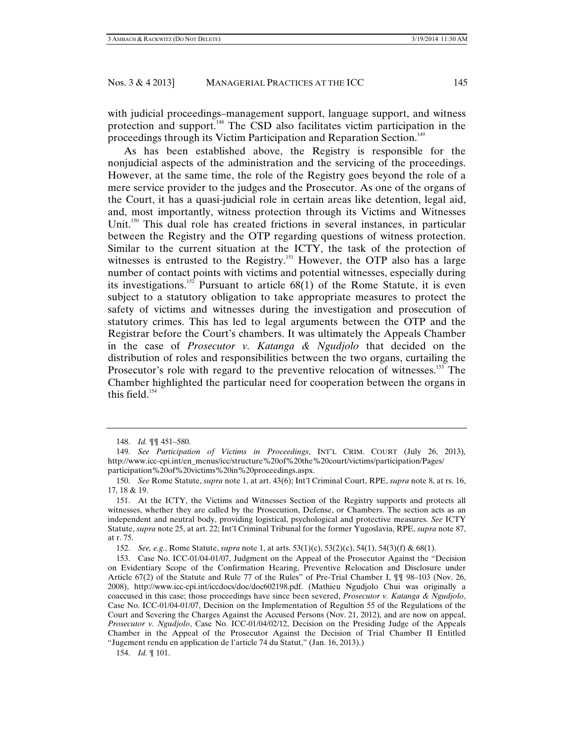with judicial proceedings–management support, language support, and witness protection and support.<sup>148</sup> The CSD also facilitates victim participation in the proceedings through its Victim Participation and Reparation Section.<sup>149</sup>

As has been established above, the Registry is responsible for the nonjudicial aspects of the administration and the servicing of the proceedings. However, at the same time, the role of the Registry goes beyond the role of a mere service provider to the judges and the Prosecutor. As one of the organs of the Court, it has a quasi-judicial role in certain areas like detention, legal aid, and, most importantly, witness protection through its Victims and Witnesses Unit.<sup>150</sup> This dual role has created frictions in several instances, in particular between the Registry and the OTP regarding questions of witness protection. Similar to the current situation at the ICTY, the task of the protection of witnesses is entrusted to the Registry.<sup>151</sup> However, the OTP also has a large number of contact points with victims and potential witnesses, especially during its investigations.<sup>152</sup> Pursuant to article  $68(1)$  of the Rome Statute, it is even subject to a statutory obligation to take appropriate measures to protect the safety of victims and witnesses during the investigation and prosecution of statutory crimes. This has led to legal arguments between the OTP and the Registrar before the Court's chambers. It was ultimately the Appeals Chamber in the case of *Prosecutor v. Katanga & Ngudjolo* that decided on the distribution of roles and responsibilities between the two organs, curtailing the Prosecutor's role with regard to the preventive relocation of witnesses.<sup>153</sup> The Chamber highlighted the particular need for cooperation between the organs in this field. $154$ 

152. *See, e.g.*, Rome Statute, *supra* note 1, at arts. 53(1)(c), 53(2)(c), 54(1), 54(3)(f) & 68(1).

154. *Id.* ¶ 101.

 <sup>148.</sup> *Id.* ¶¶ 451–580.

 <sup>149.</sup> *See Participation of Victims in Proceedings*, INT'L CRIM. COURT (July 26, 2013)*,* http://www.icc-cpi.int/en\_menus/icc/structure%20of%20the%20court/victims/participation/Pages/ participation%20of%20victims%20in%20proceedings.aspx.

 <sup>150.</sup> *See* Rome Statute, *supra* note 1, at art. 43(6); Int'l Criminal Court, RPE, *supra* note 8, at rs. 16, 17, 18 & 19.

 <sup>151.</sup> At the ICTY, the Victims and Witnesses Section of the Registry supports and protects all witnesses, whether they are called by the Prosecution, Defense, or Chambers. The section acts as an independent and neutral body, providing logistical, psychological and protective measures. *See* ICTY Statute, *supra* note 25, at art. 22; Int'l Criminal Tribunal for the former Yugoslavia, RPE, *supra* note 87, at r. 75.

 <sup>153.</sup> Case No. ICC-01/04-01/07, Judgment on the Appeal of the Prosecutor Against the "Decision on Evidentiary Scope of the Confirmation Hearing, Preventive Relocation and Disclosure under Article 67(2) of the Statute and Rule 77 of the Rules" of Pre-Trial Chamber I, ¶¶ 98–103 (Nov. 26, 2008), http://www.icc-cpi.int/iccdocs/doc/doc602198.pdf. (Mathieu Ngudjolo Chui was originally a coaccused in this case; those proceedings have since been severed, *Prosecutor v. Katanga & Ngudjolo*, Case No. ICC-01/04-01/07, Decision on the Implementation of Regultion 55 of the Regulations of the Court and Severing the Charges Against the Accused Persons (Nov. 21, 2012)*,* and are now on appeal, *Prosecutor v. Ngudjolo*, Case No. ICC-01/04/02/12, Decision on the Presiding Judge of the Appeals Chamber in the Appeal of the Prosecutor Against the Decision of Trial Chamber II Entitled "Jugement rendu en application de l'article 74 du Statut," (Jan. 16, 2013).)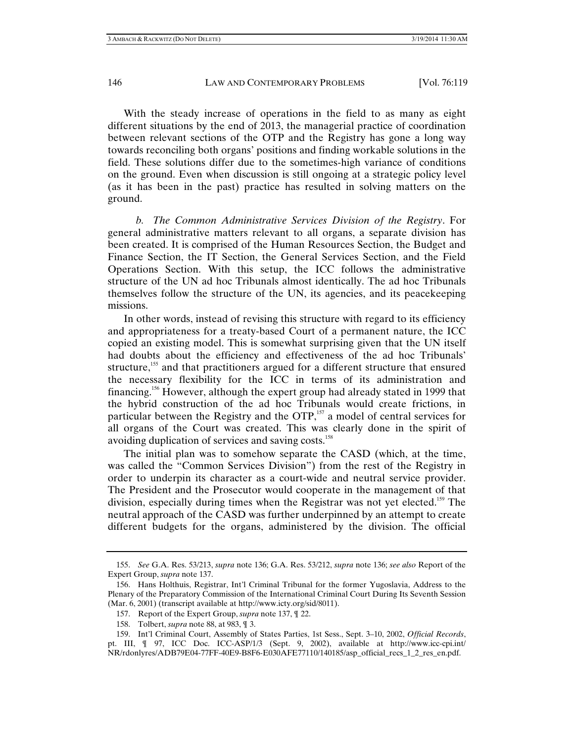With the steady increase of operations in the field to as many as eight different situations by the end of 2013, the managerial practice of coordination between relevant sections of the OTP and the Registry has gone a long way towards reconciling both organs' positions and finding workable solutions in the field. These solutions differ due to the sometimes-high variance of conditions on the ground. Even when discussion is still ongoing at a strategic policy level (as it has been in the past) practice has resulted in solving matters on the ground.

*b. The Common Administrative Services Division of the Registry*. For general administrative matters relevant to all organs, a separate division has been created. It is comprised of the Human Resources Section, the Budget and Finance Section, the IT Section, the General Services Section, and the Field Operations Section. With this setup, the ICC follows the administrative structure of the UN ad hoc Tribunals almost identically. The ad hoc Tribunals themselves follow the structure of the UN, its agencies, and its peacekeeping missions.

In other words, instead of revising this structure with regard to its efficiency and appropriateness for a treaty-based Court of a permanent nature, the ICC copied an existing model. This is somewhat surprising given that the UN itself had doubts about the efficiency and effectiveness of the ad hoc Tribunals' structure,<sup>155</sup> and that practitioners argued for a different structure that ensured the necessary flexibility for the ICC in terms of its administration and financing.156 However, although the expert group had already stated in 1999 that the hybrid construction of the ad hoc Tribunals would create frictions, in particular between the Registry and the  $\text{OTP}$ ,<sup>157</sup> a model of central services for all organs of the Court was created. This was clearly done in the spirit of avoiding duplication of services and saving costs.<sup>158</sup>

The initial plan was to somehow separate the CASD (which, at the time, was called the "Common Services Division") from the rest of the Registry in order to underpin its character as a court-wide and neutral service provider. The President and the Prosecutor would cooperate in the management of that division, especially during times when the Registrar was not yet elected.<sup>159</sup> The neutral approach of the CASD was further underpinned by an attempt to create different budgets for the organs, administered by the division. The official

 <sup>155.</sup> *See* G.A. Res. 53/213, *supra* note 136; G.A. Res. 53/212, *supra* note 136; *see also* Report of the Expert Group, *supra* note 137.

 <sup>156.</sup> Hans Holthuis, Registrar, Int'l Criminal Tribunal for the former Yugoslavia, Address to the Plenary of the Preparatory Commission of the International Criminal Court During Its Seventh Session (Mar. 6, 2001) (transcript available at http://www.icty.org/sid/8011).

 <sup>157.</sup> Report of the Expert Group, *supra* note 137, ¶ 22.

 <sup>158.</sup> Tolbert, *supra* note 88, at 983, ¶ 3.

 <sup>159.</sup> Int'l Criminal Court, Assembly of States Parties, 1st Sess., Sept. 3–10, 2002, *Official Records*, pt. III, ¶ 97, ICC Doc. ICC-ASP/1/3 (Sept. 9, 2002), available at http://www.icc-cpi.int/ NR/rdonlyres/ADB79E04-77FF-40E9-B8F6-E030AFE77110/140185/asp\_official\_recs\_1\_2\_res\_en.pdf.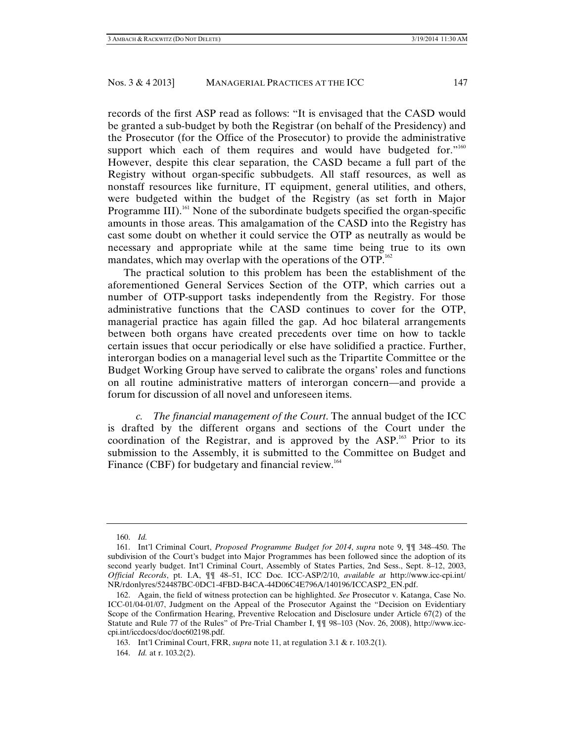records of the first ASP read as follows: "It is envisaged that the CASD would be granted a sub-budget by both the Registrar (on behalf of the Presidency) and the Prosecutor (for the Office of the Prosecutor) to provide the administrative support which each of them requires and would have budgeted for." $160$ However, despite this clear separation, the CASD became a full part of the Registry without organ-specific subbudgets. All staff resources, as well as nonstaff resources like furniture, IT equipment, general utilities, and others, were budgeted within the budget of the Registry (as set forth in Major Programme III).<sup>161</sup> None of the subordinate budgets specified the organ-specific amounts in those areas. This amalgamation of the CASD into the Registry has cast some doubt on whether it could service the OTP as neutrally as would be necessary and appropriate while at the same time being true to its own mandates, which may overlap with the operations of the OTP.<sup>162</sup>

The practical solution to this problem has been the establishment of the aforementioned General Services Section of the OTP, which carries out a number of OTP-support tasks independently from the Registry. For those administrative functions that the CASD continues to cover for the OTP, managerial practice has again filled the gap. Ad hoc bilateral arrangements between both organs have created precedents over time on how to tackle certain issues that occur periodically or else have solidified a practice. Further, interorgan bodies on a managerial level such as the Tripartite Committee or the Budget Working Group have served to calibrate the organs' roles and functions on all routine administrative matters of interorgan concern—and provide a forum for discussion of all novel and unforeseen items.

*c. The financial management of the Court*. The annual budget of the ICC is drafted by the different organs and sections of the Court under the coordination of the Registrar, and is approved by the  $ASP<sup>163</sup>$  Prior to its submission to the Assembly, it is submitted to the Committee on Budget and Finance (CBF) for budgetary and financial review.<sup>164</sup>

 <sup>160.</sup> *Id.* 

 <sup>161.</sup> Int'l Criminal Court, *Proposed Programme Budget for 2014*, *supra* note 9, ¶¶ 348–450. The subdivision of the Court's budget into Major Programmes has been followed since the adoption of its second yearly budget. Int'l Criminal Court, Assembly of States Parties, 2nd Sess., Sept. 8–12, 2003, *Official Records*, pt. I.A, ¶¶ 48–51, ICC Doc. ICC-ASP/2/10, *available at* http://www.icc-cpi.int/ NR/rdonlyres/524487BC-0DC1-4FBD-B4CA-44D06C4E796A/140196/ICCASP2\_EN.pdf.

 <sup>162.</sup> Again, the field of witness protection can be highlighted. *See* Prosecutor v. Katanga, Case No. ICC-01/04-01/07, Judgment on the Appeal of the Prosecutor Against the "Decision on Evidentiary Scope of the Confirmation Hearing, Preventive Relocation and Disclosure under Article 67(2) of the Statute and Rule 77 of the Rules" of Pre-Trial Chamber I, ¶¶ 98–103 (Nov. 26, 2008), http://www.icccpi.int/iccdocs/doc/doc602198.pdf.

 <sup>163.</sup> Int'l Criminal Court, FRR, *supra* note 11, at regulation 3.1 & r. 103.2(1).

 <sup>164.</sup> *Id.* at r. 103.2(2).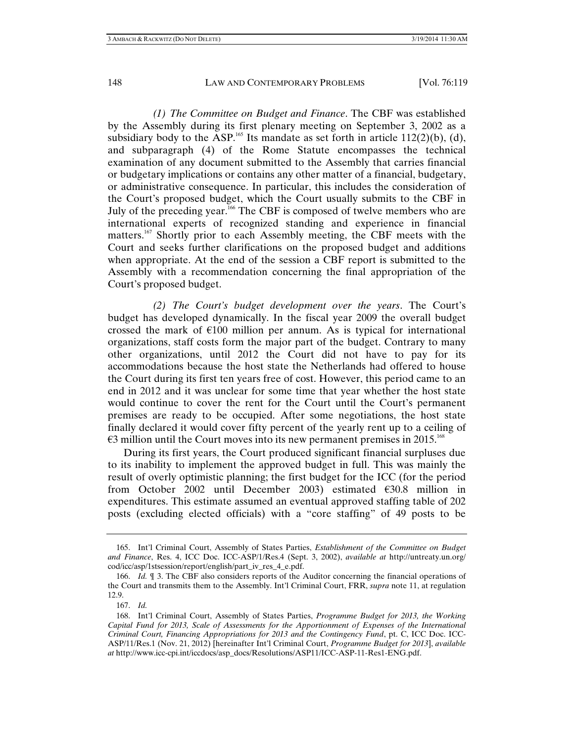*(1) The Committee on Budget and Finance*. The CBF was established by the Assembly during its first plenary meeting on September 3, 2002 as a subsidiary body to the ASP.<sup>165</sup> Its mandate as set forth in article  $112(2)(b)$ , (d), and subparagraph (4) of the Rome Statute encompasses the technical examination of any document submitted to the Assembly that carries financial or budgetary implications or contains any other matter of a financial, budgetary, or administrative consequence. In particular, this includes the consideration of the Court's proposed budget, which the Court usually submits to the CBF in July of the preceding year.<sup>166</sup> The CBF is composed of twelve members who are international experts of recognized standing and experience in financial matters.<sup>167</sup> Shortly prior to each Assembly meeting, the CBF meets with the Court and seeks further clarifications on the proposed budget and additions when appropriate. At the end of the session a CBF report is submitted to the Assembly with a recommendation concerning the final appropriation of the Court's proposed budget.

*(2) The Court's budget development over the years*. The Court's budget has developed dynamically. In the fiscal year 2009 the overall budget crossed the mark of  $E100$  million per annum. As is typical for international organizations, staff costs form the major part of the budget. Contrary to many other organizations, until 2012 the Court did not have to pay for its accommodations because the host state the Netherlands had offered to house the Court during its first ten years free of cost. However, this period came to an end in 2012 and it was unclear for some time that year whether the host state would continue to cover the rent for the Court until the Court's permanent premises are ready to be occupied. After some negotiations, the host state finally declared it would cover fifty percent of the yearly rent up to a ceiling of  $\epsilon$ 3 million until the Court moves into its new permanent premises in 2015.<sup>168</sup>

During its first years, the Court produced significant financial surpluses due to its inability to implement the approved budget in full. This was mainly the result of overly optimistic planning; the first budget for the ICC (for the period from October 2002 until December 2003) estimated  $\epsilon$ 30.8 million in expenditures. This estimate assumed an eventual approved staffing table of 202 posts (excluding elected officials) with a "core staffing" of 49 posts to be

 <sup>165.</sup> Int'l Criminal Court, Assembly of States Parties, *Establishment of the Committee on Budget and Finance*, Res. 4, ICC Doc. ICC-ASP/1/Res.4 (Sept. 3, 2002), *available at* http://untreaty.un.org/ cod/icc/asp/1stsession/report/english/part\_iv\_res\_4\_e.pdf.

 <sup>166.</sup> *Id.* ¶ 3. The CBF also considers reports of the Auditor concerning the financial operations of the Court and transmits them to the Assembly. Int'l Criminal Court, FRR, *supra* note 11, at regulation 12.9.

 <sup>167.</sup> *Id.* 

 <sup>168.</sup> Int'l Criminal Court, Assembly of States Parties, *Programme Budget for 2013, the Working Capital Fund for 2013, Scale of Assessments for the Apportionment of Expenses of the International Criminal Court, Financing Appropriations for 2013 and the Contingency Fund*, pt. C, ICC Doc. ICC-ASP/11/Res.1 (Nov. 21, 2012) [hereinafter Int'l Criminal Court, *Programme Budget for 2013*], *available at* http://www.icc-cpi.int/iccdocs/asp\_docs/Resolutions/ASP11/ICC-ASP-11-Res1-ENG.pdf.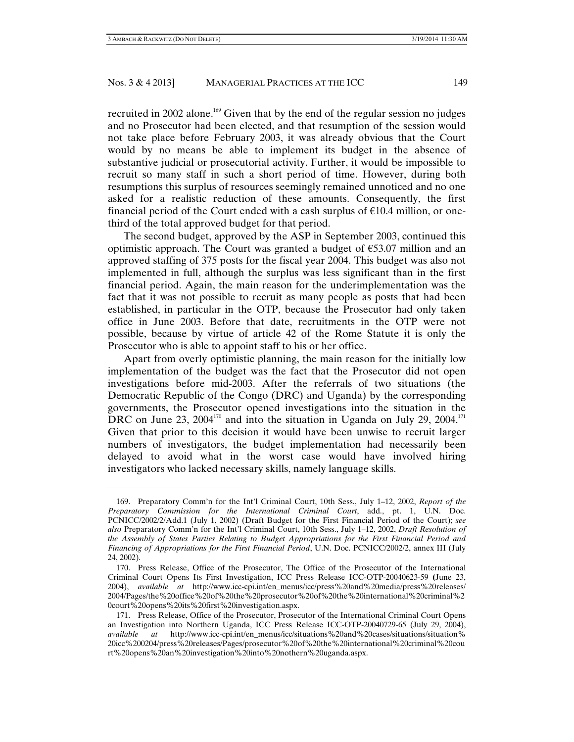recruited in 2002 alone.<sup>169</sup> Given that by the end of the regular session no judges and no Prosecutor had been elected, and that resumption of the session would not take place before February 2003, it was already obvious that the Court would by no means be able to implement its budget in the absence of substantive judicial or prosecutorial activity. Further, it would be impossible to recruit so many staff in such a short period of time. However, during both resumptions this surplus of resources seemingly remained unnoticed and no one asked for a realistic reduction of these amounts. Consequently, the first financial period of the Court ended with a cash surplus of  $E10.4$  million, or onethird of the total approved budget for that period.

The second budget, approved by the ASP in September 2003, continued this optimistic approach. The Court was granted a budget of  $\epsilon$ 53.07 million and an approved staffing of 375 posts for the fiscal year 2004. This budget was also not implemented in full, although the surplus was less significant than in the first financial period. Again, the main reason for the underimplementation was the fact that it was not possible to recruit as many people as posts that had been established, in particular in the OTP, because the Prosecutor had only taken office in June 2003. Before that date, recruitments in the OTP were not possible, because by virtue of article 42 of the Rome Statute it is only the Prosecutor who is able to appoint staff to his or her office.

Apart from overly optimistic planning, the main reason for the initially low implementation of the budget was the fact that the Prosecutor did not open investigations before mid-2003. After the referrals of two situations (the Democratic Republic of the Congo (DRC) and Uganda) by the corresponding governments, the Prosecutor opened investigations into the situation in the DRC on June 23,  $2004^{170}$  and into the situation in Uganda on July 29,  $2004$ .<sup>171</sup> Given that prior to this decision it would have been unwise to recruit larger numbers of investigators, the budget implementation had necessarily been delayed to avoid what in the worst case would have involved hiring investigators who lacked necessary skills, namely language skills.

 <sup>169.</sup> Preparatory Comm'n for the Int'l Criminal Court, 10th Sess., July 1–12, 2002, *Report of the Preparatory Commission for the International Criminal Court*, add., pt. 1, U.N. Doc. PCNICC/2002/2/Add.1 (July 1, 2002) (Draft Budget for the First Financial Period of the Court); *see also* Preparatory Comm'n for the Int'l Criminal Court, 10th Sess., July 1–12, 2002, *Draft Resolution of the Assembly of States Parties Relating to Budget Appropriations for the First Financial Period and Financing of Appropriations for the First Financial Period*, U.N. Doc. PCNICC/2002/2, annex III (July 24, 2002).

 <sup>170.</sup> Press Release, Office of the Prosecutor, The Office of the Prosecutor of the International Criminal Court Opens Its First Investigation, ICC Press Release ICC-OTP-20040623-59 **(**June 23, 2004), *available at* http://www.icc-cpi.int/en\_menus/icc/press%20and%20media/press%20releases/ 2004/Pages/the%20office%20of%20the%20prosecutor%20of%20the%20international%20criminal%2 0court%20opens%20its%20first%20investigation.aspx.

 <sup>171.</sup> Press Release, Office of the Prosecutor, Prosecutor of the International Criminal Court Opens an Investigation into Northern Uganda, ICC Press Release ICC-OTP-20040729-65 (July 29, 2004), *available at* http://www.icc-cpi.int/en\_menus/icc/situations%20and%20cases/situations/situation% 20icc%200204/press%20releases/Pages/prosecutor%20of%20the%20international%20criminal%20cou rt%20opens%20an%20investigation%20into%20nothern%20uganda.aspx.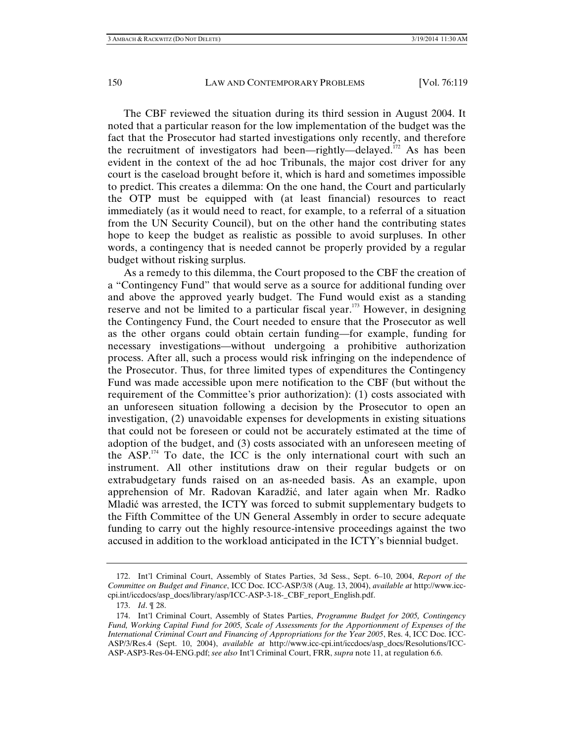The CBF reviewed the situation during its third session in August 2004. It noted that a particular reason for the low implementation of the budget was the fact that the Prosecutor had started investigations only recently, and therefore the recruitment of investigators had been—rightly—delayed.<sup>172</sup> As has been evident in the context of the ad hoc Tribunals, the major cost driver for any court is the caseload brought before it, which is hard and sometimes impossible to predict. This creates a dilemma: On the one hand, the Court and particularly the OTP must be equipped with (at least financial) resources to react immediately (as it would need to react, for example, to a referral of a situation from the UN Security Council), but on the other hand the contributing states hope to keep the budget as realistic as possible to avoid surpluses. In other words, a contingency that is needed cannot be properly provided by a regular budget without risking surplus.

As a remedy to this dilemma, the Court proposed to the CBF the creation of a "Contingency Fund" that would serve as a source for additional funding over and above the approved yearly budget. The Fund would exist as a standing reserve and not be limited to a particular fiscal year.<sup>173</sup> However, in designing the Contingency Fund, the Court needed to ensure that the Prosecutor as well as the other organs could obtain certain funding—for example, funding for necessary investigations—without undergoing a prohibitive authorization process. After all, such a process would risk infringing on the independence of the Prosecutor. Thus, for three limited types of expenditures the Contingency Fund was made accessible upon mere notification to the CBF (but without the requirement of the Committee's prior authorization): (1) costs associated with an unforeseen situation following a decision by the Prosecutor to open an investigation, (2) unavoidable expenses for developments in existing situations that could not be foreseen or could not be accurately estimated at the time of adoption of the budget, and (3) costs associated with an unforeseen meeting of the ASP.174 To date, the ICC is the only international court with such an instrument. All other institutions draw on their regular budgets or on extrabudgetary funds raised on an as-needed basis. As an example, upon apprehension of Mr. Radovan Karadžić, and later again when Mr. Radko Mladić was arrested, the ICTY was forced to submit supplementary budgets to the Fifth Committee of the UN General Assembly in order to secure adequate funding to carry out the highly resource-intensive proceedings against the two accused in addition to the workload anticipated in the ICTY's biennial budget.

 <sup>172.</sup> Int'l Criminal Court, Assembly of States Parties, 3d Sess., Sept. 6–10, 2004, *Report of the Committee on Budget and Finance*, ICC Doc. ICC-ASP/3/8 (Aug. 13, 2004), *available at* http://www.icccpi.int/iccdocs/asp\_docs/library/asp/ICC-ASP-3-18-\_CBF\_report\_English.pdf.

 <sup>173.</sup> *Id*. ¶ 28.

 <sup>174.</sup> Int'l Criminal Court, Assembly of States Parties, *Programme Budget for 2005, Contingency Fund, Working Capital Fund for 2005, Scale of Assessments for the Apportionment of Expenses of the International Criminal Court and Financing of Appropriations for the Year 2005*, Res. 4, ICC Doc. ICC-ASP/3/Res.4 (Sept. 10, 2004), *available at* http://www.icc-cpi.int/iccdocs/asp\_docs/Resolutions/ICC-ASP-ASP3-Res-04-ENG.pdf; *see also* Int'l Criminal Court, FRR, *supra* note 11, at regulation 6.6.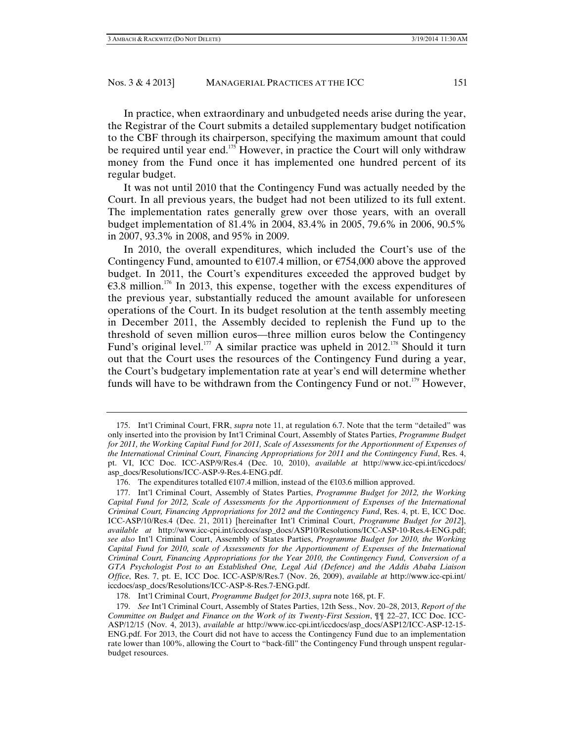In practice, when extraordinary and unbudgeted needs arise during the year, the Registrar of the Court submits a detailed supplementary budget notification to the CBF through its chairperson, specifying the maximum amount that could be required until year end.<sup>175</sup> However, in practice the Court will only withdraw money from the Fund once it has implemented one hundred percent of its regular budget.

It was not until 2010 that the Contingency Fund was actually needed by the Court. In all previous years, the budget had not been utilized to its full extent. The implementation rates generally grew over those years, with an overall budget implementation of 81.4% in 2004, 83.4% in 2005, 79.6% in 2006, 90.5% in 2007, 93.3% in 2008, and 95% in 2009.

In 2010, the overall expenditures, which included the Court's use of the Contingency Fund, amounted to  $\epsilon$ 107.4 million, or  $\epsilon$ 754,000 above the approved budget. In 2011, the Court's expenditures exceeded the approved budget by  $63.8$  million.<sup>176</sup> In 2013, this expense, together with the excess expenditures of the previous year, substantially reduced the amount available for unforeseen operations of the Court. In its budget resolution at the tenth assembly meeting in December 2011, the Assembly decided to replenish the Fund up to the threshold of seven million euros—three million euros below the Contingency Fund's original level.<sup>177</sup> A similar practice was upheld in 2012.<sup>178</sup> Should it turn out that the Court uses the resources of the Contingency Fund during a year, the Court's budgetary implementation rate at year's end will determine whether funds will have to be withdrawn from the Contingency Fund or not.<sup>179</sup> However,

 <sup>175.</sup> Int'l Criminal Court, FRR, *supra* note 11, at regulation 6.7. Note that the term "detailed" was only inserted into the provision by Int'l Criminal Court, Assembly of States Parties, *Programme Budget*  for 2011, the Working Capital Fund for 2011, Scale of Assessments for the Apportionment of Expenses of *the International Criminal Court, Financing Appropriations for 2011 and the Contingency Fund*, Res. 4, pt. VI, ICC Doc. ICC-ASP/9/Res.4 (Dec. 10, 2010), *available at* http://www.icc-cpi.int/iccdocs/ asp\_docs/Resolutions/ICC-ASP-9-Res.4-ENG.pdf.

<sup>176.</sup> The expenditures totalled  $\epsilon$ 107.4 million, instead of the  $\epsilon$ 103.6 million approved.

 <sup>177.</sup> Int'l Criminal Court, Assembly of States Parties, *Programme Budget for 2012, the Working Capital Fund for 2012, Scale of Assessments for the Apportionment of Expenses of the International Criminal Court, Financing Appropriations for 2012 and the Contingency Fund*, Res. 4, pt. E, ICC Doc. ICC-ASP/10/Res.4 (Dec. 21, 2011) [hereinafter Int'l Criminal Court, *Programme Budget for 2012*], *available at* http://www.icc-cpi.int/iccdocs/asp\_docs/ASP10/Resolutions/ICC-ASP-10-Res.4-ENG.pdf; *see also* Int'l Criminal Court, Assembly of States Parties, *Programme Budget for 2010, the Working Capital Fund for 2010, scale of Assessments for the Apportionment of Expenses of the International Criminal Court, Financing Appropriations for the Year 2010, the Contingency Fund, Conversion of a GTA Psychologist Post to an Established One, Legal Aid (Defence) and the Addis Ababa Liaison Office*, Res. 7, pt. E, ICC Doc. ICC-ASP/8/Res.7 (Nov. 26, 2009), *available at* http://www.icc-cpi.int/ iccdocs/asp\_docs/Resolutions/ICC-ASP-8-Res.7-ENG.pdf.

 <sup>178.</sup> Int'l Criminal Court, *Programme Budget for 2013*, *supra* note 168, pt. F.

 <sup>179.</sup> *See* Int'l Criminal Court, Assembly of States Parties, 12th Sess., Nov. 20–28, 2013, *Report of the Committee on Budget and Finance on the Work of its Twenty-First Session*, ¶¶ 22–27, ICC Doc. ICC-ASP/12/15 (Nov. 4, 2013), *available at* http://www.icc-cpi.int/iccdocs/asp\_docs/ASP12/ICC-ASP-12-15- ENG.pdf. For 2013, the Court did not have to access the Contingency Fund due to an implementation rate lower than 100%, allowing the Court to "back-fill" the Contingency Fund through unspent regularbudget resources.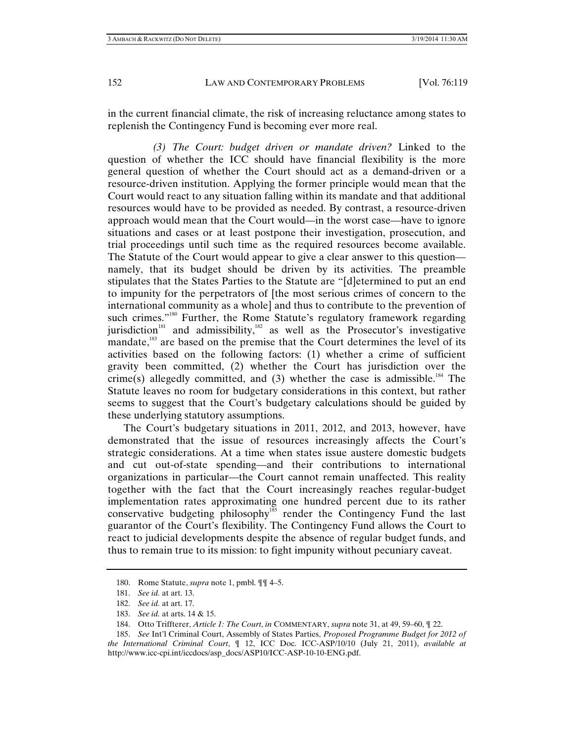in the current financial climate, the risk of increasing reluctance among states to replenish the Contingency Fund is becoming ever more real.

*(3) The Court: budget driven or mandate driven?* Linked to the question of whether the ICC should have financial flexibility is the more general question of whether the Court should act as a demand-driven or a resource-driven institution. Applying the former principle would mean that the Court would react to any situation falling within its mandate and that additional resources would have to be provided as needed. By contrast, a resource-driven approach would mean that the Court would—in the worst case—have to ignore situations and cases or at least postpone their investigation, prosecution, and trial proceedings until such time as the required resources become available. The Statute of the Court would appear to give a clear answer to this question namely, that its budget should be driven by its activities. The preamble stipulates that the States Parties to the Statute are "[d]etermined to put an end to impunity for the perpetrators of [the most serious crimes of concern to the international community as a whole] and thus to contribute to the prevention of such crimes."<sup>180</sup> Further, the Rome Statute's regulatory framework regarding jurisdiction<sup>181</sup> and admissibility,<sup>182</sup> as well as the Prosecutor's investigative mandate,<sup>183</sup> are based on the premise that the Court determines the level of its activities based on the following factors: (1) whether a crime of sufficient gravity been committed, (2) whether the Court has jurisdiction over the crime(s) allegedly committed, and (3) whether the case is admissible.<sup>184</sup> The Statute leaves no room for budgetary considerations in this context, but rather seems to suggest that the Court's budgetary calculations should be guided by these underlying statutory assumptions.

The Court's budgetary situations in 2011, 2012, and 2013, however, have demonstrated that the issue of resources increasingly affects the Court's strategic considerations. At a time when states issue austere domestic budgets and cut out-of-state spending—and their contributions to international organizations in particular—the Court cannot remain unaffected. This reality together with the fact that the Court increasingly reaches regular-budget implementation rates approximating one hundred percent due to its rather conservative budgeting philosophy<sup>185</sup> render the Contingency Fund the last guarantor of the Court's flexibility. The Contingency Fund allows the Court to react to judicial developments despite the absence of regular budget funds, and thus to remain true to its mission: to fight impunity without pecuniary caveat.

 <sup>180.</sup> Rome Statute, *supra* note 1, pmbl. ¶¶ 4–5.

 <sup>181.</sup> *See id.* at art. 13.

 <sup>182.</sup> *See id.* at art. 17.

 <sup>183.</sup> *See id.* at arts. 14 & 15.

 <sup>184.</sup> Otto Triffterer, *Article 1: The Court*, *in* COMMENTARY, *supra* note 31, at 49, 59–60, ¶ 22.

 <sup>185.</sup> *See* Int'l Criminal Court, Assembly of States Parties, *Proposed Programme Budget for 2012 of the International Criminal Court*, ¶ 12, ICC Doc. ICC-ASP/10/10 (July 21, 2011), *available at* http://www.icc-cpi.int/iccdocs/asp\_docs/ASP10/ICC-ASP-10-10-ENG.pdf.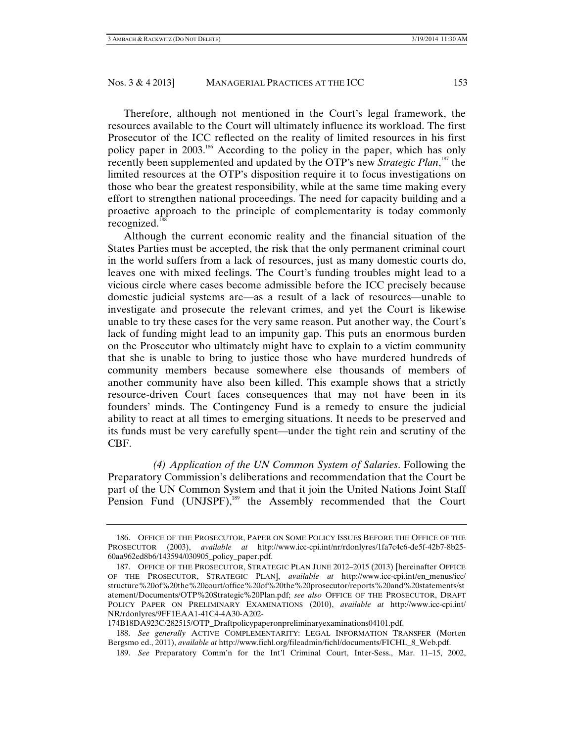Therefore, although not mentioned in the Court's legal framework, the resources available to the Court will ultimately influence its workload. The first Prosecutor of the ICC reflected on the reality of limited resources in his first policy paper in 2003.186 According to the policy in the paper, which has only recently been supplemented and updated by the OTP's new *Strategic Plan*, 187 the limited resources at the OTP's disposition require it to focus investigations on those who bear the greatest responsibility, while at the same time making every effort to strengthen national proceedings. The need for capacity building and a proactive approach to the principle of complementarity is today commonly recognized.<sup>188</sup>

Although the current economic reality and the financial situation of the States Parties must be accepted, the risk that the only permanent criminal court in the world suffers from a lack of resources, just as many domestic courts do, leaves one with mixed feelings. The Court's funding troubles might lead to a vicious circle where cases become admissible before the ICC precisely because domestic judicial systems are—as a result of a lack of resources—unable to investigate and prosecute the relevant crimes, and yet the Court is likewise unable to try these cases for the very same reason. Put another way, the Court's lack of funding might lead to an impunity gap. This puts an enormous burden on the Prosecutor who ultimately might have to explain to a victim community that she is unable to bring to justice those who have murdered hundreds of community members because somewhere else thousands of members of another community have also been killed. This example shows that a strictly resource-driven Court faces consequences that may not have been in its founders' minds. The Contingency Fund is a remedy to ensure the judicial ability to react at all times to emerging situations. It needs to be preserved and its funds must be very carefully spent—under the tight rein and scrutiny of the CBF.

*(4) Application of the UN Common System of Salaries*. Following the Preparatory Commission's deliberations and recommendation that the Court be part of the UN Common System and that it join the United Nations Joint Staff Pension Fund (UNJSPF),<sup>189</sup> the Assembly recommended that the Court

 <sup>186.</sup> OFFICE OF THE PROSECUTOR, PAPER ON SOME POLICY ISSUES BEFORE THE OFFICE OF THE PROSECUTOR (2003), *available at* http://www.icc-cpi.int/nr/rdonlyres/1fa7c4c6-de5f-42b7-8b25- 60aa962ed8b6/143594/030905\_policy\_paper.pdf.

 <sup>187.</sup> OFFICE OF THE PROSECUTOR, STRATEGIC PLAN JUNE 2012–2015 (2013) [hereinafter OFFICE OF THE PROSECUTOR, STRATEGIC PLAN], *available at* http://www.icc-cpi.int/en\_menus/icc/ structure%20of%20the%20court/office%20of%20the%20prosecutor/reports%20and%20statements/st atement/Documents/OTP%20Strategic%20Plan.pdf; *see also* OFFICE OF THE PROSECUTOR, DRAFT POLICY PAPER ON PRELIMINARY EXAMINATIONS (2010), *available at* http://www.icc-cpi.int/ NR/rdonlyres/9FF1EAA1-41C4-4A30-A202-

<sup>174</sup>B18DA923C/282515/OTP\_Draftpolicypaperonpreliminaryexaminations04101.pdf.

 <sup>188.</sup> *See generally* ACTIVE COMPLEMENTARITY: LEGAL INFORMATION TRANSFER (Morten Bergsmo ed., 2011), *available at* http://www.fichl.org/fileadmin/fichl/documents/FICHL\_8\_Web.pdf.

 <sup>189.</sup> *See* Preparatory Comm'n for the Int'l Criminal Court, Inter-Sess., Mar. 11–15, 2002,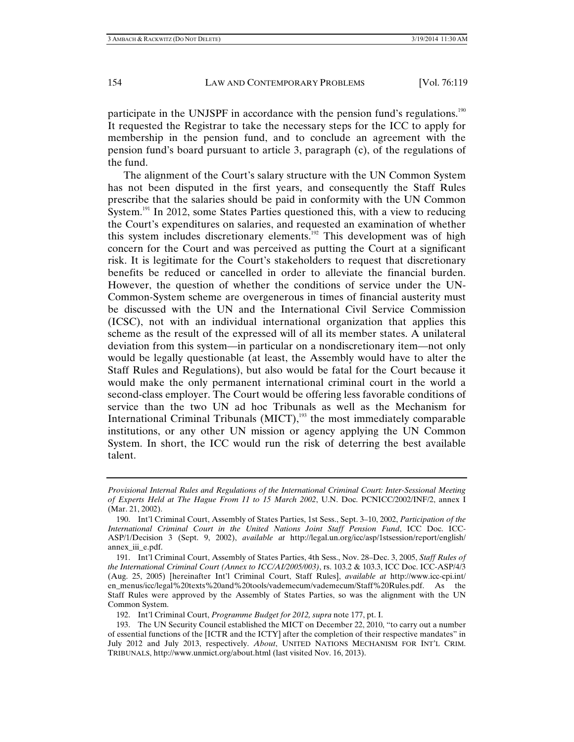participate in the UNJSPF in accordance with the pension fund's regulations.<sup>190</sup> It requested the Registrar to take the necessary steps for the ICC to apply for membership in the pension fund, and to conclude an agreement with the pension fund's board pursuant to article 3, paragraph (c), of the regulations of the fund.

The alignment of the Court's salary structure with the UN Common System has not been disputed in the first years, and consequently the Staff Rules prescribe that the salaries should be paid in conformity with the UN Common System.<sup>191</sup> In 2012, some States Parties questioned this, with a view to reducing the Court's expenditures on salaries, and requested an examination of whether this system includes discretionary elements.<sup>192</sup> This development was of high concern for the Court and was perceived as putting the Court at a significant risk. It is legitimate for the Court's stakeholders to request that discretionary benefits be reduced or cancelled in order to alleviate the financial burden. However, the question of whether the conditions of service under the UN-Common-System scheme are overgenerous in times of financial austerity must be discussed with the UN and the International Civil Service Commission (ICSC), not with an individual international organization that applies this scheme as the result of the expressed will of all its member states. A unilateral deviation from this system—in particular on a nondiscretionary item—not only would be legally questionable (at least, the Assembly would have to alter the Staff Rules and Regulations), but also would be fatal for the Court because it would make the only permanent international criminal court in the world a second-class employer. The Court would be offering less favorable conditions of service than the two UN ad hoc Tribunals as well as the Mechanism for International Criminal Tribunals  $(MICT)$ ,<sup>193</sup> the most immediately comparable institutions, or any other UN mission or agency applying the UN Common System. In short, the ICC would run the risk of deterring the best available talent.

192. Int'l Criminal Court, *Programme Budget for 2012, supra* note 177, pt. I.

*Provisional Internal Rules and Regulations of the International Criminal Court: Inter-Sessional Meeting of Experts Held at The Hague From 11 to 15 March 2002*, U.N. Doc. PCNICC/2002/INF/2, annex I (Mar. 21, 2002).

 <sup>190.</sup> Int'l Criminal Court, Assembly of States Parties, 1st Sess., Sept. 3–10, 2002, *Participation of the International Criminal Court in the United Nations Joint Staff Pension Fund*, ICC Doc. ICC-ASP/1/Decision 3 (Sept. 9, 2002), *available at* http://legal.un.org/icc/asp/1stsession/report/english/ annex\_iii\_e.pdf.

 <sup>191.</sup> Int'l Criminal Court, Assembly of States Parties, 4th Sess., Nov. 28–Dec. 3, 2005, *Staff Rules of the International Criminal Court (Annex to ICC/AI/2005/003)*, rs. 103.2 & 103.3, ICC Doc. ICC-ASP/4/3 (Aug. 25, 2005) [hereinafter Int'l Criminal Court, Staff Rules], *available at* http://www.icc-cpi.int/ en\_menus/icc/legal%20texts%20and%20tools/vademecum/vademecum/Staff%20Rules.pdf. As the Staff Rules were approved by the Assembly of States Parties, so was the alignment with the UN Common System.

 <sup>193.</sup> The UN Security Council established the MICT on December 22, 2010, "to carry out a number of essential functions of the [ICTR and the ICTY] after the completion of their respective mandates" in July 2012 and July 2013, respectively. *About*, UNITED NATIONS MECHANISM FOR INT'L CRIM. TRIBUNALS, http://www.unmict.org/about.html (last visited Nov. 16, 2013).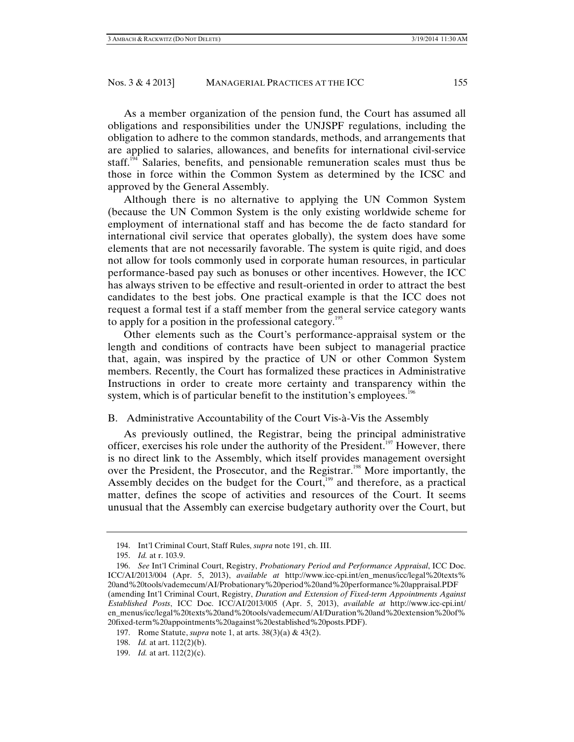As a member organization of the pension fund, the Court has assumed all obligations and responsibilities under the UNJSPF regulations, including the obligation to adhere to the common standards, methods, and arrangements that are applied to salaries, allowances, and benefits for international civil-service staff.<sup>194</sup> Salaries, benefits, and pensionable remuneration scales must thus be those in force within the Common System as determined by the ICSC and approved by the General Assembly.

Although there is no alternative to applying the UN Common System (because the UN Common System is the only existing worldwide scheme for employment of international staff and has become the de facto standard for international civil service that operates globally), the system does have some elements that are not necessarily favorable. The system is quite rigid, and does not allow for tools commonly used in corporate human resources, in particular performance-based pay such as bonuses or other incentives. However, the ICC has always striven to be effective and result-oriented in order to attract the best candidates to the best jobs. One practical example is that the ICC does not request a formal test if a staff member from the general service category wants to apply for a position in the professional category.<sup>195</sup>

Other elements such as the Court's performance-appraisal system or the length and conditions of contracts have been subject to managerial practice that, again, was inspired by the practice of UN or other Common System members. Recently, the Court has formalized these practices in Administrative Instructions in order to create more certainty and transparency within the system, which is of particular benefit to the institution's employees.<sup>196</sup>

# B. Administrative Accountability of the Court Vis-à-Vis the Assembly

As previously outlined, the Registrar, being the principal administrative officer, exercises his role under the authority of the President.<sup>197</sup> However, there is no direct link to the Assembly, which itself provides management oversight over the President, the Prosecutor, and the Registrar.<sup>198</sup> More importantly, the Assembly decides on the budget for the Court,<sup>199</sup> and therefore, as a practical matter, defines the scope of activities and resources of the Court. It seems unusual that the Assembly can exercise budgetary authority over the Court, but

 <sup>194.</sup> Int'l Criminal Court, Staff Rules, *supra* note 191, ch. III.

 <sup>195.</sup> *Id.* at r. 103.9.

 <sup>196.</sup> *See* Int'l Criminal Court, Registry, *Probationary Period and Performance Appraisal*, ICC Doc. ICC/AI/2013/004 (Apr. 5, 2013), *available at* http://www.icc-cpi.int/en\_menus/icc/legal%20texts% 20and%20tools/vademecum/AI/Probationary%20period%20and%20performance%20appraisal.PDF (amending Int'l Criminal Court, Registry, *Duration and Extension of Fixed-term Appointments Against Established Posts*, ICC Doc. ICC/AI/2013/005 (Apr. 5, 2013), *available at* http://www.icc-cpi.int/ en\_menus/icc/legal%20texts%20and%20tools/vademecum/AI/Duration%20and%20extension%20of% 20fixed-term%20appointments%20against%20established%20posts.PDF).

 <sup>197.</sup> Rome Statute, *supra* note 1, at arts. 38(3)(a) & 43(2).

 <sup>198.</sup> *Id.* at art. 112(2)(b).

 <sup>199.</sup> *Id.* at art. 112(2)(c).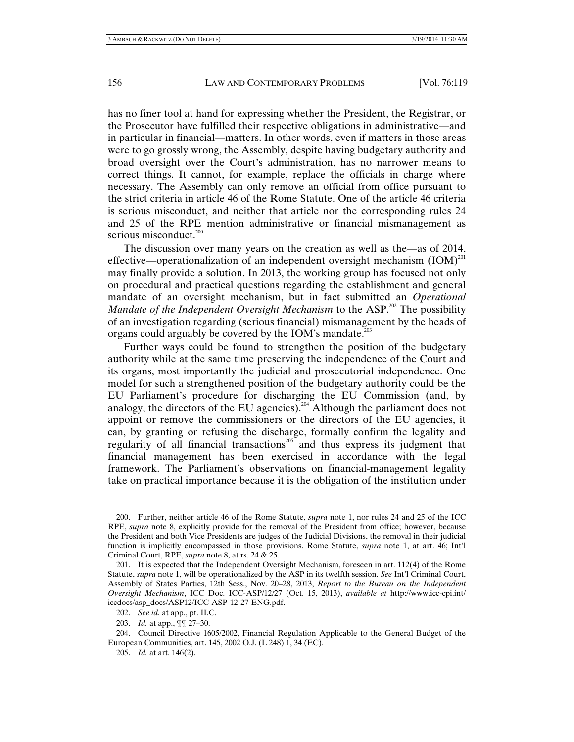has no finer tool at hand for expressing whether the President, the Registrar, or the Prosecutor have fulfilled their respective obligations in administrative—and in particular in financial—matters. In other words, even if matters in those areas were to go grossly wrong, the Assembly, despite having budgetary authority and broad oversight over the Court's administration, has no narrower means to correct things. It cannot, for example, replace the officials in charge where necessary. The Assembly can only remove an official from office pursuant to the strict criteria in article 46 of the Rome Statute. One of the article 46 criteria is serious misconduct, and neither that article nor the corresponding rules 24 and 25 of the RPE mention administrative or financial mismanagement as serious misconduct.<sup>200</sup>

The discussion over many years on the creation as well as the—as of 2014, effective—operationalization of an independent oversight mechanism  $(IOM)^{201}$ may finally provide a solution. In 2013, the working group has focused not only on procedural and practical questions regarding the establishment and general mandate of an oversight mechanism, but in fact submitted an *Operational Mandate of the Independent Oversight Mechanism* to the ASP.<sup>202</sup> The possibility of an investigation regarding (serious financial) mismanagement by the heads of organs could arguably be covered by the IOM's mandate.<sup>203</sup>

Further ways could be found to strengthen the position of the budgetary authority while at the same time preserving the independence of the Court and its organs, most importantly the judicial and prosecutorial independence. One model for such a strengthened position of the budgetary authority could be the EU Parliament's procedure for discharging the EU Commission (and, by analogy, the directors of the EU agencies).<sup>204</sup> Although the parliament does not appoint or remove the commissioners or the directors of the EU agencies, it can, by granting or refusing the discharge, formally confirm the legality and regularity of all financial transactions<sup>205</sup> and thus express its judgment that financial management has been exercised in accordance with the legal framework. The Parliament's observations on financial-management legality take on practical importance because it is the obligation of the institution under

 <sup>200.</sup> Further, neither article 46 of the Rome Statute, *supra* note 1, nor rules 24 and 25 of the ICC RPE, *supra* note 8, explicitly provide for the removal of the President from office; however, because the President and both Vice Presidents are judges of the Judicial Divisions, the removal in their judicial function is implicitly encompassed in those provisions. Rome Statute, *supra* note 1, at art. 46; Int'l Criminal Court, RPE, *supra* note 8, at rs. 24 & 25.

 <sup>201.</sup> It is expected that the Independent Oversight Mechanism, foreseen in art. 112(4) of the Rome Statute, *supra* note 1, will be operationalized by the ASP in its twelfth session. *See* Int'l Criminal Court, Assembly of States Parties, 12th Sess., Nov. 20–28, 2013, *Report to the Bureau on the Independent Oversight Mechanism*, ICC Doc. ICC-ASP/12/27 (Oct. 15, 2013), *available at* http://www.icc-cpi.int/ iccdocs/asp\_docs/ASP12/ICC-ASP-12-27-ENG.pdf.

 <sup>202.</sup> *See id.* at app., pt. II.C.

 <sup>203.</sup> *Id.* at app., ¶¶ 27–30.

 <sup>204.</sup> Council Directive 1605/2002, Financial Regulation Applicable to the General Budget of the European Communities, art. 145, 2002 O.J. (L 248) 1, 34 (EC).

 <sup>205.</sup> *Id.* at art. 146(2).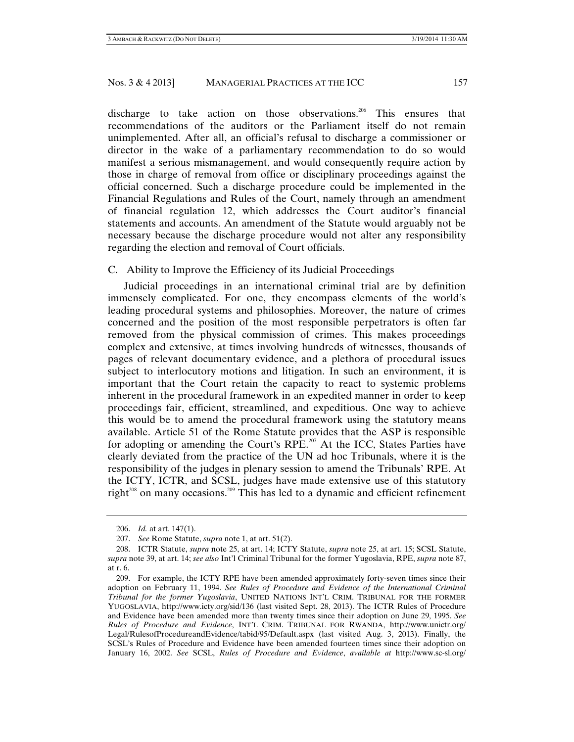discharge to take action on those observations.<sup>206</sup> This ensures that recommendations of the auditors or the Parliament itself do not remain unimplemented. After all, an official's refusal to discharge a commissioner or director in the wake of a parliamentary recommendation to do so would manifest a serious mismanagement, and would consequently require action by those in charge of removal from office or disciplinary proceedings against the official concerned. Such a discharge procedure could be implemented in the Financial Regulations and Rules of the Court, namely through an amendment of financial regulation 12, which addresses the Court auditor's financial statements and accounts. An amendment of the Statute would arguably not be necessary because the discharge procedure would not alter any responsibility regarding the election and removal of Court officials.

# C. Ability to Improve the Efficiency of its Judicial Proceedings

Judicial proceedings in an international criminal trial are by definition immensely complicated. For one, they encompass elements of the world's leading procedural systems and philosophies. Moreover, the nature of crimes concerned and the position of the most responsible perpetrators is often far removed from the physical commission of crimes. This makes proceedings complex and extensive, at times involving hundreds of witnesses, thousands of pages of relevant documentary evidence, and a plethora of procedural issues subject to interlocutory motions and litigation. In such an environment, it is important that the Court retain the capacity to react to systemic problems inherent in the procedural framework in an expedited manner in order to keep proceedings fair, efficient, streamlined, and expeditious. One way to achieve this would be to amend the procedural framework using the statutory means available. Article 51 of the Rome Statute provides that the ASP is responsible for adopting or amending the Court's RPE.<sup>207</sup> At the ICC, States Parties have clearly deviated from the practice of the UN ad hoc Tribunals, where it is the responsibility of the judges in plenary session to amend the Tribunals' RPE. At the ICTY, ICTR, and SCSL, judges have made extensive use of this statutory right $x^{208}$  on many occasions.<sup>209</sup> This has led to a dynamic and efficient refinement

 <sup>206.</sup> *Id.* at art. 147(1).

 <sup>207.</sup> *See* Rome Statute, *supra* note 1, at art. 51(2).

 <sup>208.</sup> ICTR Statute, *supra* note 25, at art. 14; ICTY Statute, *supra* note 25, at art. 15; SCSL Statute, *supra* note 39, at art. 14; *see also* Int'l Criminal Tribunal for the former Yugoslavia, RPE, *supra* note 87, at r. 6.

 <sup>209.</sup> For example, the ICTY RPE have been amended approximately forty-seven times since their adoption on February 11, 1994. *See Rules of Procedure and Evidence of the International Criminal Tribunal for the former Yugoslavia*, UNITED NATIONS INT'L CRIM. TRIBUNAL FOR THE FORMER YUGOSLAVIA, http://www.icty.org/sid/136 (last visited Sept. 28, 2013). The ICTR Rules of Procedure and Evidence have been amended more than twenty times since their adoption on June 29, 1995. *See Rules of Procedure and Evidence*, INT'L CRIM. TRIBUNAL FOR RWANDA, http://www.unictr.org/ Legal/RulesofProcedureandEvidence/tabid/95/Default.aspx (last visited Aug. 3, 2013). Finally, the SCSL's Rules of Procedure and Evidence have been amended fourteen times since their adoption on January 16, 2002. *See* SCSL, *Rules of Procedure and Evidence*, *available at* http://www.sc-sl.org/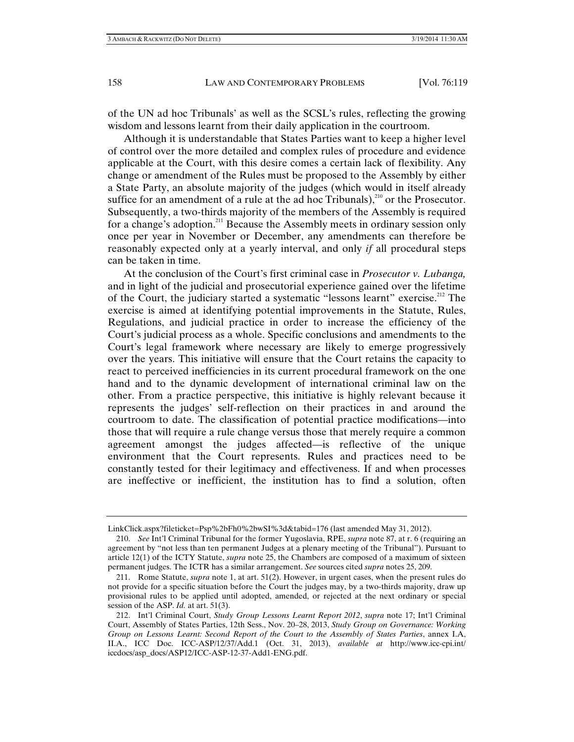of the UN ad hoc Tribunals' as well as the SCSL's rules, reflecting the growing wisdom and lessons learnt from their daily application in the courtroom.

Although it is understandable that States Parties want to keep a higher level of control over the more detailed and complex rules of procedure and evidence applicable at the Court, with this desire comes a certain lack of flexibility. Any change or amendment of the Rules must be proposed to the Assembly by either a State Party, an absolute majority of the judges (which would in itself already suffice for an amendment of a rule at the ad hoc Tribunals), $210$  or the Prosecutor. Subsequently, a two-thirds majority of the members of the Assembly is required for a change's adoption.<sup>211</sup> Because the Assembly meets in ordinary session only once per year in November or December, any amendments can therefore be reasonably expected only at a yearly interval, and only *if* all procedural steps can be taken in time.

At the conclusion of the Court's first criminal case in *Prosecutor v. Lubanga,* and in light of the judicial and prosecutorial experience gained over the lifetime of the Court, the judiciary started a systematic "lessons learnt" exercise.<sup>212</sup> The exercise is aimed at identifying potential improvements in the Statute, Rules, Regulations, and judicial practice in order to increase the efficiency of the Court's judicial process as a whole. Specific conclusions and amendments to the Court's legal framework where necessary are likely to emerge progressively over the years. This initiative will ensure that the Court retains the capacity to react to perceived inefficiencies in its current procedural framework on the one hand and to the dynamic development of international criminal law on the other. From a practice perspective, this initiative is highly relevant because it represents the judges' self-reflection on their practices in and around the courtroom to date. The classification of potential practice modifications—into those that will require a rule change versus those that merely require a common agreement amongst the judges affected—is reflective of the unique environment that the Court represents. Rules and practices need to be constantly tested for their legitimacy and effectiveness. If and when processes are ineffective or inefficient, the institution has to find a solution, often

LinkClick.aspx?fileticket=Psp%2bFh0%2bwSI%3d&tabid=176 (last amended May 31, 2012).

 <sup>210.</sup> *See* Int'l Criminal Tribunal for the former Yugoslavia, RPE, *supra* note 87, at r. 6 (requiring an agreement by "not less than ten permanent Judges at a plenary meeting of the Tribunal"). Pursuant to article 12(1) of the ICTY Statute, *supra* note 25, the Chambers are composed of a maximum of sixteen permanent judges. The ICTR has a similar arrangement. *See* sources cited *supra* notes 25, 209.

 <sup>211.</sup> Rome Statute, *supra* note 1, at art. 51(2). However, in urgent cases, when the present rules do not provide for a specific situation before the Court the judges may, by a two-thirds majority, draw up provisional rules to be applied until adopted, amended, or rejected at the next ordinary or special session of the ASP. *Id.* at art. 51(3).

 <sup>212.</sup> Int'l Criminal Court, *Study Group Lessons Learnt Report 2012*, *supra* note 17; Int'l Criminal Court, Assembly of States Parties, 12th Sess., Nov. 20–28, 2013, *Study Group on Governance: Working Group on Lessons Learnt: Second Report of the Court to the Assembly of States Parties*, annex I.A, II.A., ICC Doc. ICC-ASP/12/37/Add.1 (Oct. 31, 2013), *available at* http://www.icc-cpi.int/ iccdocs/asp\_docs/ASP12/ICC-ASP-12-37-Add1-ENG.pdf.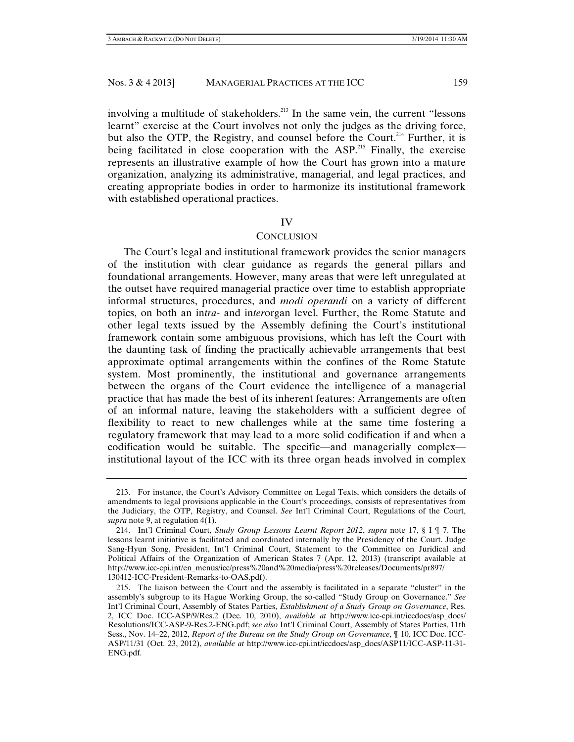involving a multitude of stakeholders.<sup>213</sup> In the same vein, the current "lessons learnt" exercise at the Court involves not only the judges as the driving force, but also the OTP, the Registry, and counsel before the Court.<sup>214</sup> Further, it is being facilitated in close cooperation with the  $ASP<sup>215</sup>$  Finally, the exercise represents an illustrative example of how the Court has grown into a mature organization, analyzing its administrative, managerial, and legal practices, and creating appropriate bodies in order to harmonize its institutional framework with established operational practices.

#### IV

#### **CONCLUSION**

The Court's legal and institutional framework provides the senior managers of the institution with clear guidance as regards the general pillars and foundational arrangements. However, many areas that were left unregulated at the outset have required managerial practice over time to establish appropriate informal structures, procedures, and *modi operandi* on a variety of different topics, on both an in*tra*- and in*ter*organ level. Further, the Rome Statute and other legal texts issued by the Assembly defining the Court's institutional framework contain some ambiguous provisions, which has left the Court with the daunting task of finding the practically achievable arrangements that best approximate optimal arrangements within the confines of the Rome Statute system. Most prominently, the institutional and governance arrangements between the organs of the Court evidence the intelligence of a managerial practice that has made the best of its inherent features: Arrangements are often of an informal nature, leaving the stakeholders with a sufficient degree of flexibility to react to new challenges while at the same time fostering a regulatory framework that may lead to a more solid codification if and when a codification would be suitable. The specific—and managerially complex institutional layout of the ICC with its three organ heads involved in complex

 <sup>213.</sup> For instance, the Court's Advisory Committee on Legal Texts, which considers the details of amendments to legal provisions applicable in the Court's proceedings, consists of representatives from the Judiciary, the OTP, Registry, and Counsel. *See* Int'l Criminal Court, Regulations of the Court, *supra* note 9, at regulation 4(1).

 <sup>214.</sup> Int'l Criminal Court, *Study Group Lessons Learnt Report 2012*, *supra* note 17, § I ¶ 7. The lessons learnt initiative is facilitated and coordinated internally by the Presidency of the Court. Judge Sang-Hyun Song, President, Int'l Criminal Court, Statement to the Committee on Juridical and Political Affairs of the Organization of American States 7 (Apr. 12, 2013) (transcript available at http://www.icc-cpi.int/en\_menus/icc/press%20and%20media/press%20releases/Documents/pr897/ 130412-ICC-President-Remarks-to-OAS.pdf).

 <sup>215.</sup> The liaison between the Court and the assembly is facilitated in a separate "cluster" in the assembly's subgroup to its Hague Working Group, the so-called "Study Group on Governance." *See*  Int'l Criminal Court, Assembly of States Parties, *Establishment of a Study Group on Governance*, Res. 2, ICC Doc. ICC-ASP/9/Res.2 (Dec. 10, 2010), *available at* http://www.icc-cpi.int/iccdocs/asp\_docs/ Resolutions/ICC-ASP-9-Res.2-ENG.pdf; *see also* Int'l Criminal Court, Assembly of States Parties, 11th Sess., Nov. 14–22, 2012, *Report of the Bureau on the Study Group on Governance*, ¶ 10, ICC Doc. ICC-ASP/11/31 (Oct. 23, 2012), *available at* http://www.icc-cpi.int/iccdocs/asp\_docs/ASP11/ICC-ASP-11-31- ENG.pdf.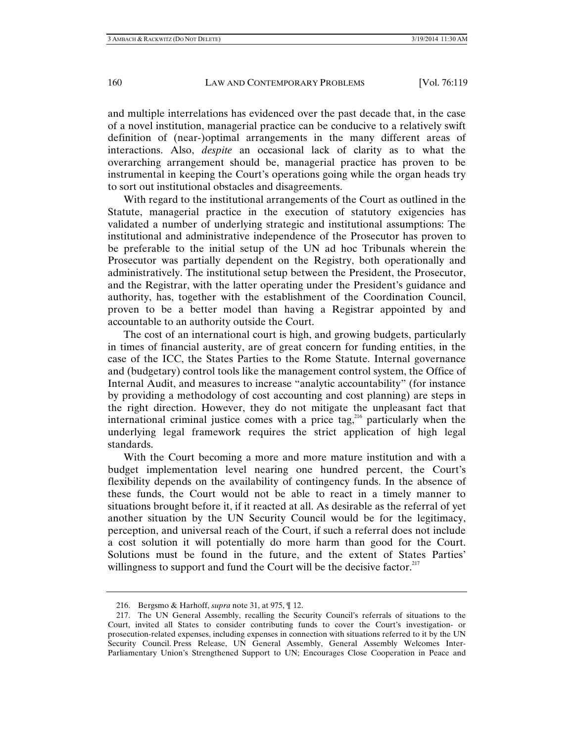and multiple interrelations has evidenced over the past decade that, in the case of a novel institution, managerial practice can be conducive to a relatively swift definition of (near-)optimal arrangements in the many different areas of interactions. Also, *despite* an occasional lack of clarity as to what the overarching arrangement should be, managerial practice has proven to be instrumental in keeping the Court's operations going while the organ heads try to sort out institutional obstacles and disagreements.

With regard to the institutional arrangements of the Court as outlined in the Statute, managerial practice in the execution of statutory exigencies has validated a number of underlying strategic and institutional assumptions: The institutional and administrative independence of the Prosecutor has proven to be preferable to the initial setup of the UN ad hoc Tribunals wherein the Prosecutor was partially dependent on the Registry, both operationally and administratively. The institutional setup between the President, the Prosecutor, and the Registrar, with the latter operating under the President's guidance and authority, has, together with the establishment of the Coordination Council, proven to be a better model than having a Registrar appointed by and accountable to an authority outside the Court.

The cost of an international court is high, and growing budgets, particularly in times of financial austerity, are of great concern for funding entities, in the case of the ICC, the States Parties to the Rome Statute. Internal governance and (budgetary) control tools like the management control system, the Office of Internal Audit, and measures to increase "analytic accountability" (for instance by providing a methodology of cost accounting and cost planning) are steps in the right direction. However, they do not mitigate the unpleasant fact that international criminal justice comes with a price tag,<sup>216</sup> particularly when the underlying legal framework requires the strict application of high legal standards.

With the Court becoming a more and more mature institution and with a budget implementation level nearing one hundred percent, the Court's flexibility depends on the availability of contingency funds. In the absence of these funds, the Court would not be able to react in a timely manner to situations brought before it, if it reacted at all. As desirable as the referral of yet another situation by the UN Security Council would be for the legitimacy, perception, and universal reach of the Court, if such a referral does not include a cost solution it will potentially do more harm than good for the Court. Solutions must be found in the future, and the extent of States Parties' willingness to support and fund the Court will be the decisive factor.  $217$ 

 <sup>216.</sup> Bergsmo & Harhoff, *supra* note 31, at 975, ¶ 12.

 <sup>217.</sup> The UN General Assembly, recalling the Security Council's referrals of situations to the Court, invited all States to consider contributing funds to cover the Court's investigation- or prosecution-related expenses, including expenses in connection with situations referred to it by the UN Security Council. Press Release, UN General Assembly, General Assembly Welcomes Inter-Parliamentary Union's Strengthened Support to UN; Encourages Close Cooperation in Peace and